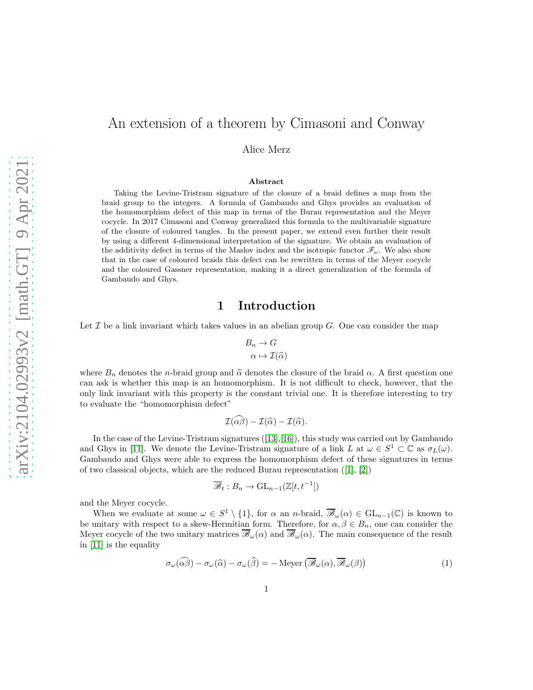# An extension of a theorem by Cimasoni and Conway

Alice Merz

#### Abstract

Taking the Levine-Tristram signature of the closure of a braid defines a map from the braid group to the integers. A formula of Gambaudo and Ghys provides an evaluation of the homomorphism defect of this map in terms of the Burau representation and the Meyer cocycle. In 2017 Cimasoni and Conway generalized this formula to the multivariable signature of the closure of coloured tangles. In the present paper, we extend even further their result by using a different 4-dimensional interpretation of the signature. We obtain an evaluation of the additivity defect in terms of the Maslov index and the isotropic functor  $\mathscr{F}_{\omega}$ . We also show that in the case of coloured braids this defect can be rewritten in terms of the Meyer cocycle and the coloured Gassner representation, making it a direct generalization of the formula of Gambaudo and Ghys.

## 1 Introduction

Let  $\mathcal I$  be a link invariant which takes values in an abelian group  $G$ . One can consider the map

$$
B_n \to G
$$

$$
\alpha \mapsto \mathcal{I}(\widehat{\alpha})
$$

where  $B_n$  denotes the n-braid group and  $\hat{\alpha}$  denotes the closure of the braid  $\alpha$ . A first question one can ask is whether this map is an homomorphism. It is not difficult to check, however, that the only link invariant with this property is the constant trivial one. It is therefore interesting to try to evaluate the "homomorphism defect"

$$
\mathcal{I}(\widehat{\alpha\beta}) - \mathcal{I}(\widehat{\alpha}) - \mathcal{I}(\widehat{\alpha}).
$$

In the case of the Levine-Tristram signatures([\[13\]](#page-31-0),[\[16\]](#page-31-1)), this study was carried out by Gambaudo and Ghys in [\[11\]](#page-30-0). We denote the Levine-Tristram signature of a link L at  $\omega \in S^1 \subset \mathbb{C}$  as  $\sigma_L(\omega)$ . Gambaudo and Ghys were able to express the homomorphism defect of these signatures in terms of two classical objects, which are the reduced Burau representation([\[1\]](#page-30-1), [\[2\]](#page-30-2))

$$
\overline{\mathscr{B}}_t : B_n \to \mathrm{GL}_{n-1}(\mathbb{Z}[t, t^{-1}])
$$

and the Meyer cocycle.

When we evaluate at some  $\omega \in S^1 \setminus \{1\}$ , for  $\alpha$  an n-braid,  $\overline{\mathscr{B}}_{\omega}(\alpha) \in GL_{n-1}(\mathbb{C})$  is known to be unitary with respect to a skew-Hermitian form. Therefore, for  $\alpha, \beta \in B_n$ , one can consider the Meyer cocycle of the two unitary matrices  $\overline{\mathscr{B}}_{\omega}(\alpha)$  and  $\overline{\mathscr{B}}_{\omega}(\alpha)$ . The main consequence of the result in [\[11\]](#page-30-0) is the equality

<span id="page-0-0"></span>
$$
\sigma_{\omega}(\widehat{\alpha\beta}) - \sigma_{\omega}(\widehat{\alpha}) - \sigma_{\omega}(\widehat{\beta}) = -\operatorname{Meyer}\left(\overline{\mathscr{B}}_{\omega}(\alpha), \overline{\mathscr{B}}_{\omega}(\beta)\right) \tag{1}
$$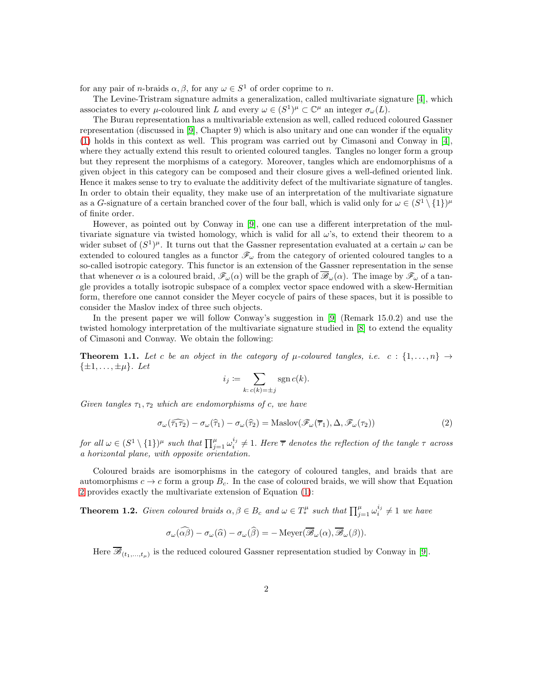for any pair of *n*-braids  $\alpha, \beta$ , for any  $\omega \in S^1$  of order coprime to *n*.

The Levine-Tristram signature admits a generalization, called multivariate signature [\[4\]](#page-30-3), which associates to every  $\mu$ -coloured link L and every  $\omega \in (S^1)^{\mu} \subset \mathbb{C}^{\mu}$  an integer  $\sigma_{\omega}(L)$ .

The Burau representation has a multivariable extension as well, called reduced coloured Gassner representation (discussed in [\[9\]](#page-30-4), Chapter 9) which is also unitary and one can wonder if the equality [\(1\)](#page-0-0) holds in this context as well. This program was carried out by Cimasoni and Conway in [\[4\]](#page-30-3), where they actually extend this result to oriented coloured tangles. Tangles no longer form a group but they represent the morphisms of a category. Moreover, tangles which are endomorphisms of a given object in this category can be composed and their closure gives a well-defined oriented link. Hence it makes sense to try to evaluate the additivity defect of the multivariate signature of tangles. In order to obtain their equality, they make use of an interpretation of the multivariate signature as a G-signature of a certain branched cover of the four ball, which is valid only for  $\omega \in (S^1 \setminus \{1\})^{\mu}$ of finite order.

However, as pointed out by Conway in [\[9\]](#page-30-4), one can use a different interpretation of the multivariate signature via twisted homology, which is valid for all  $\omega$ 's, to extend their theorem to a wider subset of  $(S^1)^{\mu}$ . It turns out that the Gassner representation evaluated at a certain  $\omega$  can be extended to coloured tangles as a functor  $\mathcal{F}_{\omega}$  from the category of oriented coloured tangles to a so-called isotropic category. This functor is an extension of the Gassner representation in the sense that whenever  $\alpha$  is a coloured braid,  $\mathscr{F}_{\omega}(\alpha)$  will be the graph of  $\overline{\mathscr{B}}_{\omega}(\alpha)$ . The image by  $\mathscr{F}_{\omega}$  of a tangle provides a totally isotropic subspace of a complex vector space endowed with a skew-Hermitian form, therefore one cannot consider the Meyer cocycle of pairs of these spaces, but it is possible to consider the Maslov index of three such objects.

In the present paper we will follow Conway's suggestion in [\[9\]](#page-30-4) (Remark 15.0.2) and use the twisted homology interpretation of the multivariate signature studied in [\[8\]](#page-30-5) to extend the equality of Cimasoni and Conway. We obtain the following:

<span id="page-1-1"></span>**Theorem 1.1.** Let c be an object in the category of  $\mu$ -coloured tangles, i.e. c :  $\{1,\ldots,n\} \rightarrow$  $\{\pm 1,\ldots,\pm \mu\}$ . Let

$$
i_j := \sum_{k:\, c(k)=\pm j} \operatorname{sgn} c(k).
$$

Given tangles  $\tau_1, \tau_2$  which are endomorphisms of c, we have

<span id="page-1-0"></span>
$$
\sigma_{\omega}(\widehat{\tau_1 \tau_2}) - \sigma_{\omega}(\widehat{\tau_1}) - \sigma_{\omega}(\widehat{\tau_2}) = \text{Maslov}(\mathscr{F}_{\omega}(\overline{\tau_1}), \Delta, \mathscr{F}_{\omega}(\tau_2))
$$
\n(2)

for all  $\omega \in (S^1 \setminus \{1\})^{\mu}$  such that  $\prod_{j=1}^{\mu} \omega_i^{i_j} \neq 1$ . Here  $\overline{\tau}$  denotes the reflection of the tangle  $\tau$  across a horizontal plane, with opposite orientation.

Coloured braids are isomorphisms in the category of coloured tangles, and braids that are automorphisms  $c \to c$  form a group  $B_c$ . In the case of coloured braids, we will show that Equation [2](#page-1-0) provides exactly the multivariate extension of Equation [\(1\)](#page-0-0):

<span id="page-1-2"></span>**Theorem 1.2.** Given coloured braids  $\alpha, \beta \in B_c$  and  $\omega \in T_*^{\mu}$  such that  $\prod_{j=1}^{\mu} \omega_i^{i_j} \neq 1$  we have

$$
\sigma_{\omega}(\widehat{\alpha\beta}) - \sigma_{\omega}(\widehat{\alpha}) - \sigma_{\omega}(\widehat{\beta}) = -\operatorname{Meyer}(\overline{\mathscr{B}}_{\omega}(\alpha), \overline{\mathscr{B}}_{\omega}(\beta)).
$$

Here  $\overline{\mathscr{B}}_{(t_1,...,t_\mu)}$  is the reduced coloured Gassner representation studied by Conway in [\[9\]](#page-30-4).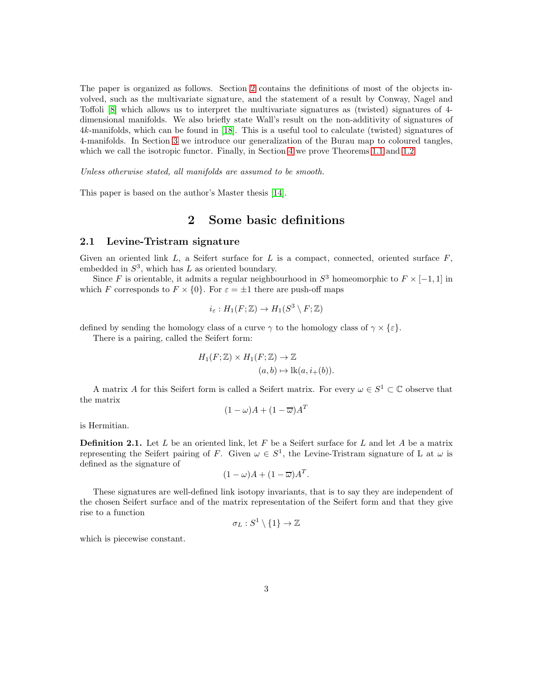The paper is organized as follows. Section [2](#page-2-0) contains the definitions of most of the objects involved, such as the multivariate signature, and the statement of a result by Conway, Nagel and Toffoli [\[8\]](#page-30-5) which allows us to interpret the multivariate signatures as (twisted) signatures of 4 dimensional manifolds. We also briefly state Wall's result on the non-additivity of signatures of 4k-manifolds, which can be found in [\[18\]](#page-31-2). This is a useful tool to calculate (twisted) signatures of 4-manifolds. In Section [3](#page-7-0) we introduce our generalization of the Burau map to coloured tangles, which we call the isotropic functor. Finally, in Section [4](#page-12-0) we prove Theorems [1.1](#page-1-1) and [1.2](#page-1-2)

Unless otherwise stated, all manifolds are assumed to be smooth.

<span id="page-2-0"></span>This paper is based on the author's Master thesis [\[14\]](#page-31-3).

### 2 Some basic definitions

### 2.1 Levine-Tristram signature

Given an oriented link  $L$ , a Seifert surface for  $L$  is a compact, connected, oriented surface  $F$ , embedded in  $S^3$ , which has L as oriented boundary.

Since F is orientable, it admits a regular neighbourhood in  $S^3$  homeomorphic to  $F \times [-1,1]$  in which F corresponds to  $F \times \{0\}$ . For  $\varepsilon = \pm 1$  there are push-off maps

$$
i_{\varepsilon}: H_1(F; \mathbb{Z}) \to H_1(S^3 \setminus F; \mathbb{Z})
$$

defined by sending the homology class of a curve  $\gamma$  to the homology class of  $\gamma \times \{\varepsilon\}.$ 

There is a pairing, called the Seifert form:

$$
H_1(F; \mathbb{Z}) \times H_1(F; \mathbb{Z}) \to \mathbb{Z}
$$
  

$$
(a, b) \mapsto \text{lk}(a, i_+(b)).
$$

A matrix A for this Seifert form is called a Seifert matrix. For every  $\omega \in S^1 \subset \mathbb{C}$  observe that the matrix

$$
(1 - \omega)A + (1 - \overline{\omega})A^T
$$

is Hermitian.

**Definition 2.1.** Let L be an oriented link, let F be a Seifert surface for L and let A be a matrix representing the Seifert pairing of F. Given  $\omega \in S^1$ , the Levine-Tristram signature of L at  $\omega$  is defined as the signature of

$$
(1 - \omega)A + (1 - \overline{\omega})A^T.
$$

These signatures are well-defined link isotopy invariants, that is to say they are independent of the chosen Seifert surface and of the matrix representation of the Seifert form and that they give rise to a function

$$
\sigma_L:S^1\setminus\{1\}\to\mathbb{Z}
$$

which is piecewise constant.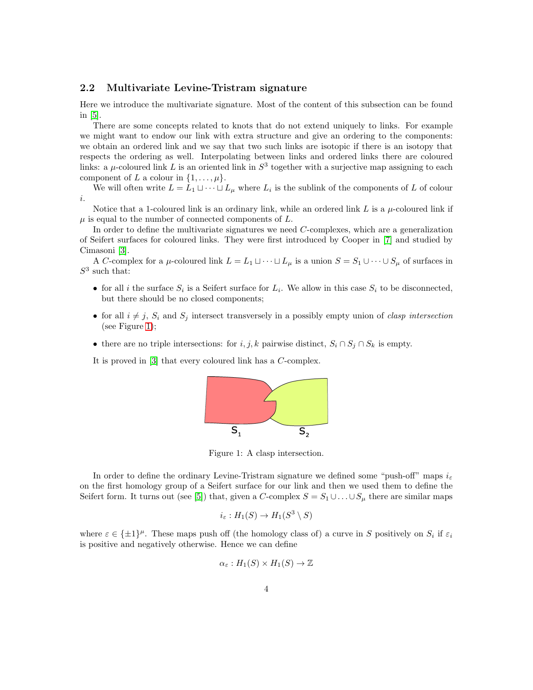### 2.2 Multivariate Levine-Tristram signature

Here we introduce the multivariate signature. Most of the content of this subsection can be found in [\[5\]](#page-30-6).

There are some concepts related to knots that do not extend uniquely to links. For example we might want to endow our link with extra structure and give an ordering to the components: we obtain an ordered link and we say that two such links are isotopic if there is an isotopy that respects the ordering as well. Interpolating between links and ordered links there are coloured links: a  $\mu$ -coloured link L is an oriented link in  $S^3$  together with a surjective map assigning to each component of L a colour in  $\{1, \ldots, \mu\}.$ 

We will often write  $L = L_1 \sqcup \cdots \sqcup L_{\mu}$  where  $L_i$  is the sublink of the components of L of colour i.

Notice that a 1-coloured link is an ordinary link, while an ordered link L is a  $\mu$ -coloured link if  $\mu$  is equal to the number of connected components of  $L$ .

In order to define the multivariate signatures we need C-complexes, which are a generalization of Seifert surfaces for coloured links. They were first introduced by Cooper in [\[7\]](#page-30-7) and studied by Cimasoni [\[3\]](#page-30-8).

A C-complex for a  $\mu$ -coloured link  $L = L_1 \sqcup \cdots \sqcup L_\mu$  is a union  $S = S_1 \cup \cdots \cup S_\mu$  of surfaces in  $S^3$  such that:

- for all i the surface  $S_i$  is a Seifert surface for  $L_i$ . We allow in this case  $S_i$  to be disconnected, but there should be no closed components;
- for all  $i \neq j$ ,  $S_i$  and  $S_j$  intersect transversely in a possibly empty union of *clasp intersection* (see Figure [1\)](#page-3-0);
- there are no triple intersections: for  $i, j, k$  pairwise distinct,  $S_i \cap S_j \cap S_k$  is empty.

It is proved in [\[3\]](#page-30-8) that every coloured link has a C-complex.



<span id="page-3-0"></span>Figure 1: A clasp intersection.

In order to define the ordinary Levine-Tristram signature we defined some "push-off" maps  $i_{\varepsilon}$ on the first homology group of a Seifert surface for our link and then we used them to define the Seifert form. It turns out (see [\[5\]](#page-30-6)) that, given a C-complex  $S = S_1 \cup \ldots \cup S_\mu$  there are similar maps

$$
i_{\varepsilon}:H_1(S)\to H_1(S^3\setminus S)
$$

where  $\varepsilon \in {\pm 1}^{\mu}$ . These maps push off (the homology class of) a curve in S positively on  $S_i$  if  $\varepsilon_i$ is positive and negatively otherwise. Hence we can define

$$
\alpha_{\varepsilon}: H_1(S) \times H_1(S) \to \mathbb{Z}
$$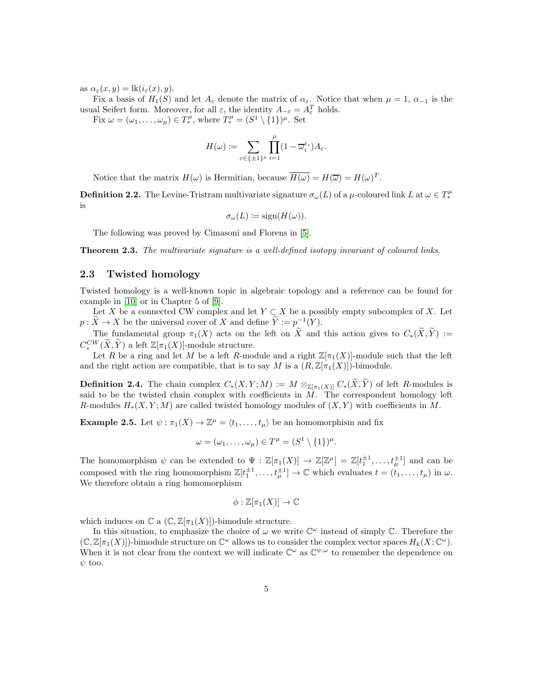as  $\alpha_{\varepsilon}(x, y) = \text{lk}(i_{\varepsilon}(x), y).$ 

Fix a basis of  $H_1(S)$  and let  $A_\varepsilon$  denote the matrix of  $\alpha_\varepsilon$ . Notice that when  $\mu = 1, \alpha_{-1}$  is the usual Seifert form. Moreover, for all  $\varepsilon$ , the identity  $A_{-\varepsilon} = A_{\varepsilon}^T$  holds.

Fix  $\omega = (\omega_1, \dots, \omega_\mu) \in T_*^\mu$ , where  $T_*^\mu = (S^1 \setminus \{1\})^\mu$ . Set

$$
H(\omega) := \sum_{\varepsilon \in \{\pm 1\}^{\mu}} \prod_{i=1}^{\mu} (1 - \overline{\omega}_i^{\varepsilon_i}) A_{\varepsilon}.
$$

Notice that the matrix  $H(\omega)$  is Hermitian, because  $\overline{H(\omega)} = H(\overline{\omega}) = H(\omega)^T$ .

**Definition 2.2.** The Levine-Tristram multivariate signature  $\sigma_\omega(L)$  of a  $\mu$ -coloured link L at  $\omega \in T_*^\mu$ is

$$
\sigma_{\omega}(L) \coloneqq \text{sign}(H(\omega)).
$$

The following was proved by Cimasoni and Florens in [\[5\]](#page-30-6).

**Theorem 2.3.** The multivariate signature is a well-defined isotopy invariant of coloured links.

### <span id="page-4-1"></span>2.3 Twisted homology

Twisted homology is a well-known topic in algebraic topology and a reference can be found for example in [\[10\]](#page-30-9) or in Chapter 5 of [\[9\]](#page-30-4).

Let X be a connected CW complex and let  $Y \subset X$  be a possibly empty subcomplex of X. Let  $p: \tilde{X} \to X$  be the universal cover of X and define  $\tilde{Y} := p^{-1}(Y)$ .

The fundamental group  $\pi_1(X)$  acts on the left on  $\widetilde{X}$  and this action gives to  $C_*(\widetilde{X}, \widetilde{Y}) :=$  $C^{CW}_*(\widetilde{X}, \widetilde{Y})$  a left  $\mathbb{Z}[\pi_1(X)]$ -module structure.

Let R be a ring and let M be a left R-module and a right  $\mathbb{Z}[\pi_1(X)]$ -module such that the left and the right action are compatible, that is to say M is a  $(R, \mathbb{Z}[\pi_1(X)])$ -bimodule.

**Definition 2.4.** The chain complex  $C_*(X, Y; M) := M \otimes_{\mathbb{Z}[\pi_1(X)]} C_*(X, \widetilde{Y})$  of left R-modules is said to be the twisted chain complex with coefficients in  $\hat{M}$ . The correspondent homology left R-modules  $H_*(X, Y; M)$  are called twisted homology modules of  $(X, Y)$  with coefficients in M.

<span id="page-4-0"></span>**Example 2.5.** Let  $\psi : \pi_1(X) \to \mathbb{Z}^{\mu} = \langle t_1, \ldots, t_{\mu} \rangle$  be an homomorphism and fix

$$
\omega=(\omega_1,\ldots,\omega_\mu)\in T^\mu=(S^1\setminus\{1\})^\mu.
$$

The homomorphism  $\psi$  can be extended to  $\Psi : \mathbb{Z}[\pi_1(X)] \to \mathbb{Z}[\mathbb{Z}^{\mu}] = \mathbb{Z}[t_1^{\pm 1}, \ldots, t_{\mu}^{\pm 1}]$  and can be composed with the ring homomorphism  $\mathbb{Z}[t_1^{\pm 1}, \ldots, t_\mu^{\pm 1}] \to \mathbb{C}$  which evaluates  $t = (t_1, \ldots, t_\mu)$  in  $\omega$ . We therefore obtain a ring homomorphism

$$
\phi:\mathbb{Z}[\pi_1(X)]\to\mathbb{C}
$$

which induces on  $\mathbb C$  a  $(\mathbb C, \mathbb Z[\pi_1(X)])$ -bimodule structure.

In this situation, to emphasize the choice of  $\omega$  we write  $\mathbb{C}^{\omega}$  instead of simply  $\mathbb{C}$ . Therefore the  $(\mathbb{C}, \mathbb{Z}[\pi_1(X)])$ -bimodule structure on  $\mathbb{C}^{\omega}$  allows us to consider the complex vector spaces  $H_k(X; \mathbb{C}^{\omega})$ . When it is not clear from the context we will indicate  $\mathbb{C}^{\omega}$  as  $\mathbb{C}^{\psi,\omega}$  to remember the dependence on  $\psi$  too.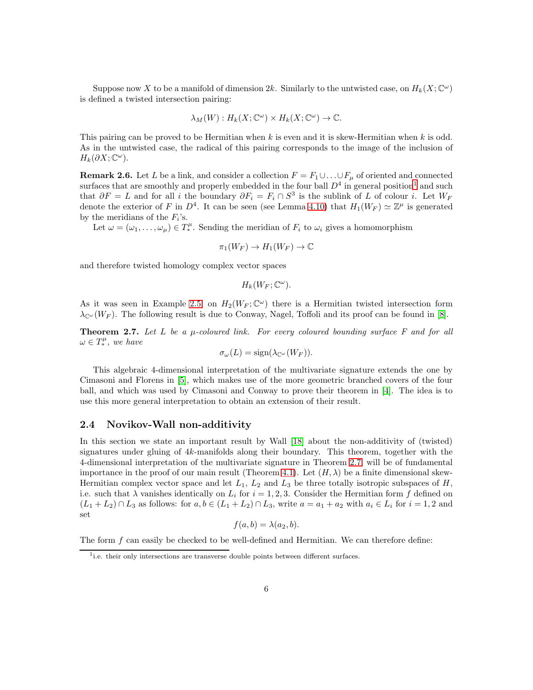Suppose now X to be a manifold of dimension 2k. Similarly to the untwisted case, on  $H_k(X; \mathbb{C}^\omega)$ is defined a twisted intersection pairing:

$$
\lambda_M(W): H_k(X; \mathbb{C}^\omega) \times H_k(X; \mathbb{C}^\omega) \to \mathbb{C}.
$$

This pairing can be proved to be Hermitian when k is even and it is skew-Hermitian when k is odd. As in the untwisted case, the radical of this pairing corresponds to the image of the inclusion of  $H_k(\partial X; \mathbb{C}^{\omega}).$ 

**Remark 2.6.** Let L be a link, and consider a collection  $F = F_1 \cup ... \cup F_\mu$  of oriented and connected surfaces that are smoothly and properly embedded in the four ball  $D<sup>4</sup>$  in general position<sup>[1](#page-5-0)</sup> and such that  $\partial F = L$  and for all i the boundary  $\partial F_i = F_i \cap S^3$  is the sublink of L of colour i. Let  $W_F$ denote the exterior of F in  $D^4$ . It can be seen (see Lemma [4.10\)](#page-22-0) that  $H_1(W_F) \simeq \mathbb{Z}^{\mu}$  is generated by the meridians of the  $F_i$ 's.

Let  $\omega = (\omega_1, \ldots, \omega_\mu) \in T_*^\mu$ . Sending the meridian of  $F_i$  to  $\omega_i$  gives a homomorphism

$$
\pi_1(W_F) \to H_1(W_F) \to \mathbb{C}
$$

and therefore twisted homology complex vector spaces

$$
H_k(W_F; \mathbb{C}^{\omega}).
$$

As it was seen in Example [2.5,](#page-4-0) on  $H_2(W_F; \mathbb{C}^\omega)$  there is a Hermitian twisted intersection form  $\lambda_{\mathbb{C}^{\omega}}(W_F)$ . The following result is due to Conway, Nagel, Toffoli and its proof can be found in [\[8\]](#page-30-5).

<span id="page-5-1"></span>**Theorem 2.7.** Let L be a  $\mu$ -coloured link. For every coloured bounding surface F and for all  $\omega \in T_*^{\mu}$ , we have

$$
\sigma_{\omega}(L) = \text{sign}(\lambda_{\mathbb{C}^{\omega}}(W_F)).
$$

This algebraic 4-dimensional interpretation of the multivariate signature extends the one by Cimasoni and Florens in [\[5\]](#page-30-6), which makes use of the more geometric branched covers of the four ball, and which was used by Cimasoni and Conway to prove their theorem in [\[4\]](#page-30-3). The idea is to use this more general interpretation to obtain an extension of their result.

### 2.4 Novikov-Wall non-additivity

In this section we state an important result by Wall [\[18\]](#page-31-2) about the non-additivity of (twisted) signatures under gluing of 4k-manifolds along their boundary. This theorem, together with the 4-dimensional interpretation of the multivariate signature in Theorem [2.7,](#page-5-1) will be of fundamental importance in the proof of our main result (Theorem [4.1\)](#page-12-1). Let  $(H, \lambda)$  be a finite dimensional skew-Hermitian complex vector space and let  $L_1$ ,  $L_2$  and  $L_3$  be three totally isotropic subspaces of  $H$ , i.e. such that  $\lambda$  vanishes identically on  $L_i$  for  $i = 1, 2, 3$ . Consider the Hermitian form f defined on  $(L_1 + L_2) \cap L_3$  as follows: for  $a, b \in (L_1 + L_2) \cap L_3$ , write  $a = a_1 + a_2$  with  $a_i \in L_i$  for  $i = 1, 2$  and set

$$
f(a,b) = \lambda(a_2,b).
$$

The form f can easily be checked to be well-defined and Hermitian. We can therefore define:

<span id="page-5-0"></span><sup>&</sup>lt;sup>1</sup>i.e. their only intersections are transverse double points between different surfaces.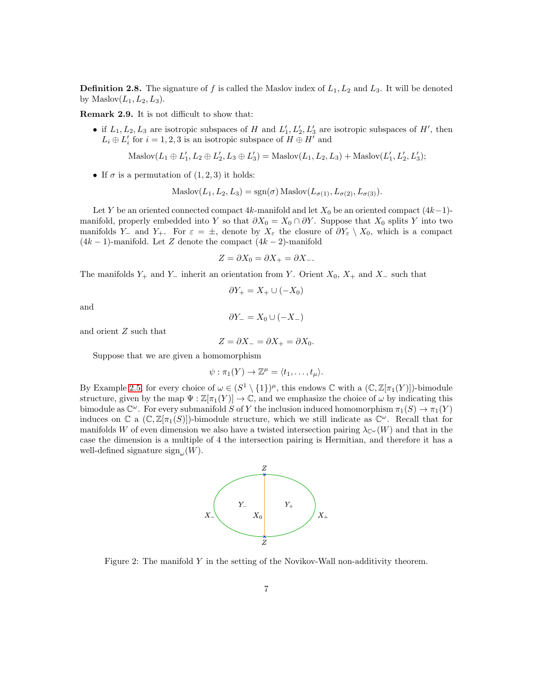**Definition 2.8.** The signature of f is called the Maslov index of  $L_1, L_2$  and  $L_3$ . It will be denoted by Maslov $(L_1, L_2, L_3)$ .

<span id="page-6-0"></span>Remark 2.9. It is not difficult to show that:

• if  $L_1, L_2, L_3$  are isotropic subspaces of H and  $L'_1, L'_2, L'_3$  are isotropic subspaces of H', then  $L_i \oplus L'_i$  for  $i=1,2,3$  is an isotropic subspace of  $H \oplus H'$  and

Maslov
$$
(L_1 \oplus L'_1, L_2 \oplus L'_2, L_3 \oplus L'_3)
$$
 = Maslov $(L_1, L_2, L_3)$  + Maslov $(L'_1, L'_2, L'_3)$ ;

• If  $\sigma$  is a permutation of  $(1, 2, 3)$  it holds:

Maslov
$$
(L_1, L_2, L_3)
$$
 = sgn $(\sigma)$  Maslov $(L_{\sigma(1)}, L_{\sigma(2)}, L_{\sigma(3)})$ .

Let Y be an oriented connected compact  $4k$ -manifold and let  $X_0$  be an oriented compact  $(4k-1)$ manifold, properly embedded into Y so that  $\partial X_0 = X_0 \cap \partial Y$ . Suppose that  $X_0$  splits Y into two manifolds Y<sub>−</sub> and Y<sub>+</sub>. For  $\varepsilon = \pm$ , denote by  $X_{\varepsilon}$  the closure of  $\partial Y_{\varepsilon} \setminus X_0$ , which is a compact  $(4k-1)$ -manifold. Let Z denote the compact  $(4k-2)$ -manifold

$$
Z = \partial X_0 = \partial X_+ = \partial X_-.
$$

The manifolds  $Y_+$  and  $Y_-\$  inherit an orientation from Y. Orient  $X_0, X_+\$  and  $X_-\$  such that

$$
\partial Y_+ = X_+ \cup (-X_0)
$$

and

$$
\partial Y_{-}=X_{0}\cup (-X_{-})
$$

and orient Z such that

$$
Z = \partial X_- = \partial X_+ = \partial X_0.
$$

Suppose that we are given a homomorphism

$$
\psi : \pi_1(Y) \to \mathbb{Z}^{\mu} = \langle t_1, \ldots, t_{\mu} \rangle.
$$

By Example [2.5,](#page-4-0) for every choice of  $\omega \in (S^1 \setminus \{1\})^{\mu}$ , this endows  $\mathbb C$  with a  $(\mathbb C, \mathbb Z[\pi_1(Y)])$ -bimodule structure, given by the map  $\Psi : \mathbb{Z}[\pi_1(Y)] \to \mathbb{C}$ , and we emphasize the choice of  $\omega$  by indicating this bimodule as  $\mathbb{C}^\omega$ . For every submanifold S of Y the inclusion induced homomorphism  $\pi_1(S) \to \pi_1(Y)$ induces on  $\mathbb C$  a  $(\mathbb C, \mathbb Z[\pi_1(S)])$ -bimodule structure, which we still indicate as  $\mathbb C^{\omega}$ . Recall that for manifolds W of even dimension we also have a twisted intersection pairing  $\lambda_{\mathbb{C}^{\omega}}(W)$  and that in the case the dimension is a multiple of 4 the intersection pairing is Hermitian, and therefore it has a well-defined signature  $sign_{\omega}(W)$ .



Figure 2: The manifold  $Y$  in the setting of the Novikov-Wall non-additivity theorem.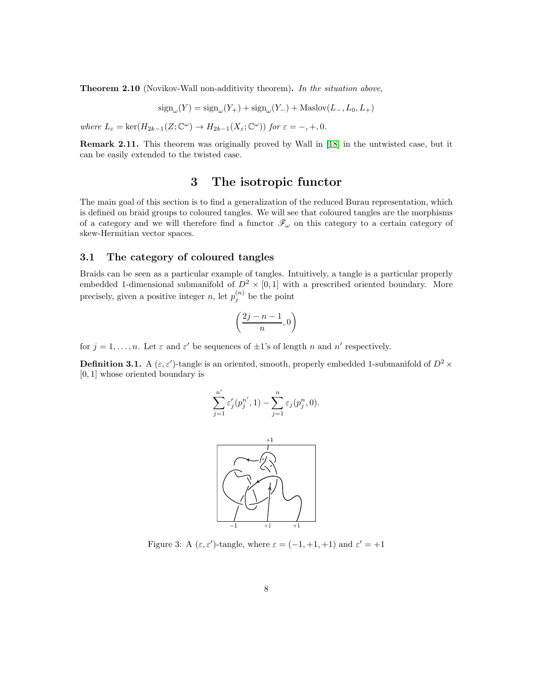Theorem 2.10 (Novikov-Wall non-additivity theorem). In the situation above,

 $sign_{\omega}(Y) = sign_{\omega}(Y_{+}) + sign_{\omega}(Y_{-}) + Maslov(L_{-}, L_{0}, L_{+})$ 

where  $L_{\varepsilon} = \ker(H_{2k-1}(Z; \mathbb{C}^{\omega}) \to H_{2k-1}(X_{\varepsilon}; \mathbb{C}^{\omega}))$  for  $\varepsilon = -, +, 0$ .

<span id="page-7-0"></span>Remark 2.11. This theorem was originally proved by Wall in [\[18\]](#page-31-2) in the untwisted case, but it can be easily extended to the twisted case.

## 3 The isotropic functor

The main goal of this section is to find a generalization of the reduced Burau representation, which is defined on braid groups to coloured tangles. We will see that coloured tangles are the morphisms of a category and we will therefore find a functor  $\mathscr{F}_{\omega}$  on this category to a certain category of skew-Hermitian vector spaces.

#### 3.1 The category of coloured tangles

Braids can be seen as a particular example of tangles. Intuitively, a tangle is a particular properly embedded 1-dimensional submanifold of  $D^2 \times [0,1]$  with a prescribed oriented boundary. More precisely, given a positive integer n, let  $p_j^{(n)}$  be the point

$$
\left(\frac{2j-n-1}{n},0\right)
$$

for  $j = 1, ..., n$ . Let  $\varepsilon$  and  $\varepsilon'$  be sequences of  $\pm 1$ 's of length n and n' respectively.

**Definition 3.1.** A  $(\varepsilon, \varepsilon')$ -tangle is an oriented, smooth, properly embedded 1-submanifold of  $D^2 \times$ [0, 1] whose oriented boundary is

$$
\sum_{j=1}^{n'} \varepsilon'_j(p_j^{n'}, 1) - \sum_{j=1}^n \varepsilon_j(p_j^n, 0).
$$



Figure 3: A  $(\varepsilon, \varepsilon')$ -tangle, where  $\varepsilon = (-1, +1, +1)$  and  $\varepsilon' = +1$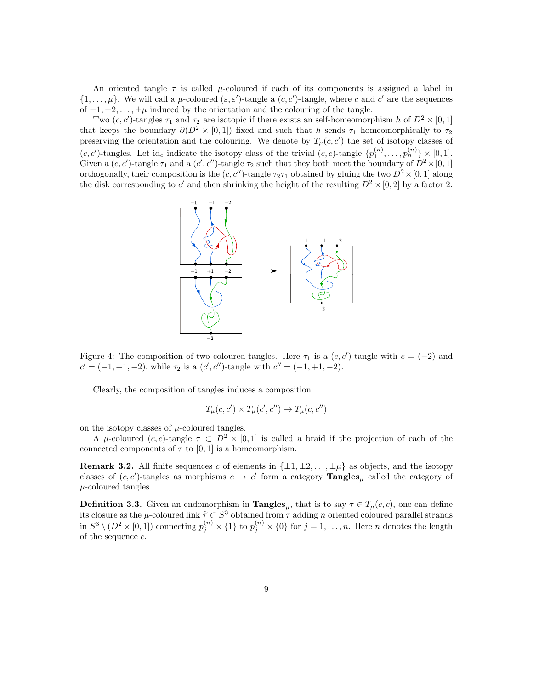An oriented tangle  $\tau$  is called  $\mu$ -coloured if each of its components is assigned a label in  $\{1,\ldots,\mu\}$ . We will call a  $\mu$ -coloured  $(\varepsilon,\varepsilon')$ -tangle a  $(c,c')$ -tangle, where c and c' are the sequences of  $\pm 1, \pm 2, \ldots, \pm \mu$  induced by the orientation and the colouring of the tangle.

Two  $(c, c')$ -tangles  $\tau_1$  and  $\tau_2$  are isotopic if there exists an self-homeomorphism h of  $D^2 \times [0, 1]$ that keeps the boundary  $\partial(D^2 \times [0,1])$  fixed and such that h sends  $\tau_1$  homeomorphically to  $\tau_2$ preserving the orientation and the colouring. We denote by  $T_{\mu}(c, c')$  the set of isotopy classes of  $(c, c')$ -tangles. Let id<sub>c</sub> indicate the isotopy class of the trivial  $(c, c)$ -tangle  $\{p_1^{(n)}, \ldots, p_n^{(n)}\} \times [0, 1]$ . Given a  $(c, c')$ -tangle  $\tau_1$  and a  $(c', c'')$ -tangle  $\tau_2$  such that they both meet the boundary of  $D^2 \times [0, 1]$ orthogonally, their composition is the  $(c, c'')$ -tangle  $\tau_2\tau_1$  obtained by gluing the two  $D^2 \times [0, 1]$  along the disk corresponding to c' and then shrinking the height of the resulting  $D^2 \times [0,2]$  by a factor 2.



Figure 4: The composition of two coloured tangles. Here  $\tau_1$  is a  $(c, c')$ -tangle with  $c = (-2)$  and  $c' = (-1, +1, -2)$ , while  $\tau_2$  is a  $(c', c'')$ -tangle with  $c'' = (-1, +1, -2)$ .

Clearly, the composition of tangles induces a composition

$$
T_{\mu}(c, c') \times T_{\mu}(c', c'') \to T_{\mu}(c, c'')
$$

on the isotopy classes of  $\mu$ -coloured tangles.

A  $\mu$ -coloured (c, c)-tangle  $\tau \subset D^2 \times [0,1]$  is called a braid if the projection of each of the connected components of  $\tau$  to [0, 1] is a homeomorphism.

**Remark 3.2.** All finite sequences c of elements in  $\{\pm 1, \pm 2, \ldots, \pm \mu\}$  as objects, and the isotopy classes of  $(c, c')$ -tangles as morphisms  $c \to c'$  form a category **Tangles**<sub> $\mu$ </sub> called the category of  $\mu$ -coloured tangles.

**Definition 3.3.** Given an endomorphism in **Tangles**<sub>u</sub>, that is to say  $\tau \in T_\mu(c, c)$ , one can define its closure as the  $\mu$ -coloured link  $\hat{\tau} \subset S^3$  obtained from  $\tau$  adding n oriented coloured parallel strands in  $S^3 \setminus (D^2 \times [0,1])$  connecting  $p_j^{(n)} \times \{1\}$  to  $p_j^{(n)} \times \{0\}$  for  $j=1,\ldots,n$ . Here *n* denotes the length of the sequence c.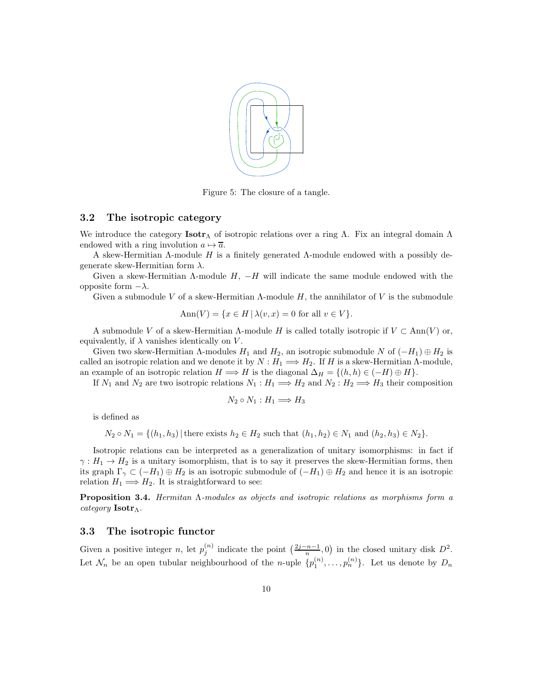

Figure 5: The closure of a tangle.

### 3.2 The isotropic category

We introduce the category **Isotr**<sub>Λ</sub> of isotropic relations over a ring Λ. Fix an integral domain Λ endowed with a ring involution  $a \mapsto \overline{a}$ .

A skew-Hermitian Λ-module H is a finitely generated Λ-module endowed with a possibly degenerate skew-Hermitian form  $\lambda$ .

Given a skew-Hermitian  $\Lambda$ -module  $H$ ,  $-H$  will indicate the same module endowed with the opposite form −λ.

Given a submodule V of a skew-Hermitian  $\Lambda$ -module H, the annihilator of V is the submodule

$$
Ann(V) = \{ x \in H \mid \lambda(v, x) = 0 \text{ for all } v \in V \}.
$$

A submodule V of a skew-Hermitian  $\Lambda$ -module H is called totally isotropic if  $V \subset \text{Ann}(V)$  or, equivalently, if  $\lambda$  vanishes identically on V.

Given two skew-Hermitian  $\Lambda$ -modules  $H_1$  and  $H_2$ , an isotropic submodule N of  $(-H_1) \oplus H_2$  is called an isotropic relation and we denote it by  $N : H_1 \Longrightarrow H_2$ . If H is a skew-Hermitian  $\Lambda$ -module, an example of an isotropic relation  $H \Longrightarrow H$  is the diagonal  $\Delta_H = \{(h, h) \in (-H) \oplus H\}.$ 

If  $N_1$  and  $N_2$  are two isotropic relations  $N_1 : H_1 \Longrightarrow H_2$  and  $N_2 : H_2 \Longrightarrow H_3$  their composition

$$
N_2 \circ N_1 : H_1 \Longrightarrow H_3
$$

is defined as

$$
N_2 \circ N_1 = \{(h_1, h_3) | \text{there exists } h_2 \in H_2 \text{ such that } (h_1, h_2) \in N_1 \text{ and } (h_2, h_3) \in N_2 \}.
$$

Isotropic relations can be interpreted as a generalization of unitary isomorphisms: in fact if  $\gamma: H_1 \to H_2$  is a unitary isomorphism, that is to say it preserves the skew-Hermitian forms, then its graph  $\Gamma_{\gamma} \subset (-H_1) \oplus H_2$  is an isotropic submodule of  $(-H_1) \oplus H_2$  and hence it is an isotropic relation  $H_1 \Longrightarrow H_2$ . It is straightforward to see:

Proposition 3.4. Hermitan Λ-modules as objects and isotropic relations as morphisms form a category **Isotr**Λ.

### 3.3 The isotropic functor

Given a positive integer n, let  $p_j^{(n)}$  indicate the point  $\left(\frac{2j-n-1}{n},0\right)$  in the closed unitary disk  $D^2$ . Let  $\mathcal{N}_n$  be an open tubular neighbourhood of the *n*-uple  $\{p_1^{(n)}, \ldots, p_n^{(n)}\}$ . Let us denote by  $D_n$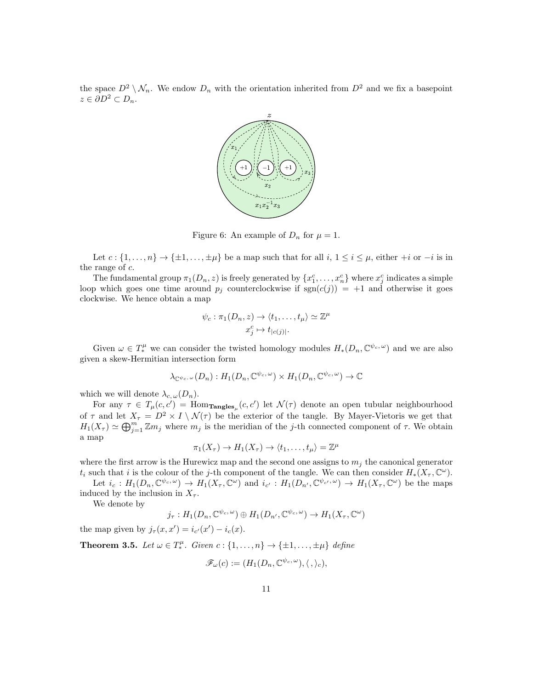the space  $D^2 \setminus \mathcal{N}_n$ . We endow  $D_n$  with the orientation inherited from  $D^2$  and we fix a basepoint  $z \in \partial D^2 \subset D_n$ .



Figure 6: An example of  $D_n$  for  $\mu = 1$ .

Let  $c : \{1, \ldots, n\} \to \{\pm 1, \ldots, \pm \mu\}$  be a map such that for all  $i, 1 \le i \le \mu$ , either  $+i$  or  $-i$  is in the range of  $c$ .

The fundamental group  $\pi_1(D_n, z)$  is freely generated by  $\{x_1^c, \ldots, x_n^c\}$  where  $x_j^c$  indicates a simple loop which goes one time around  $p_j$  counterclockwise if  $sgn(c(j)) = +1$  and otherwise it goes clockwise. We hence obtain a map

$$
\psi_c : \pi_1(D_n, z) \to \langle t_1, \dots, t_\mu \rangle \simeq \mathbb{Z}^\mu
$$

$$
x_j^c \mapsto t_{|c(j)|}.
$$

Given  $\omega \in T^{\mu}_{*}$  we can consider the twisted homology modules  $H_*(D_n, \mathbb{C}^{\psi_c, \omega})$  and we are also given a skew-Hermitian intersection form

$$
\lambda_{{\mathbb{C}}^{\psi_c,\,\omega}}(D_n):H_1(D_n,{\mathbb{C}}^{\psi_c,\,\omega})\times H_1(D_n,{\mathbb{C}}^{\psi_c,\,\omega})\to{\mathbb{C}}
$$

which we will denote  $\lambda_{c,\omega}(D_n)$ .

For any  $\tau \in T_{\mu}(c, c') = \text{Hom}_{\text{Tangles}_{\mu}}(c, c')$  let  $\mathcal{N}(\tau)$  denote an open tubular neighbourhood of  $\tau$  and let  $X_{\tau} = D^2 \times I \setminus \mathcal{N}(\tau)$  be the exterior of the tangle. By Mayer-Vietoris we get that  $H_1(X_\tau) \simeq \bigoplus_{j=1}^m \mathbb{Z}m_j$  where  $m_j$  is the meridian of the j-th connected component of  $\tau$ . We obtain a map

$$
\pi_1(X_{\tau}) \to H_1(X_{\tau}) \to \langle t_1, \dots, t_{\mu} \rangle = \mathbb{Z}^{\mu}
$$

where the first arrow is the Hurewicz map and the second one assigns to  $m_j$  the canonical generator  $t_i$  such that i is the colour of the j-th component of the tangle. We can then consider  $H_*(X_\tau, \mathbb{C}^\omega)$ .

Let  $i_c: H_1(D_n, \mathbb{C}^{\psi_c, \omega}) \to H_1(X_\tau, \mathbb{C}^\omega)$  and  $i_{c'}: H_1(D_{n'}, \mathbb{C}^{\psi_{c'}, \omega}) \to H_1(X_\tau, \mathbb{C}^\omega)$  be the maps induced by the inclusion in  $X_{\tau}$ .

We denote by

$$
j_{\tau}: H_1(D_n, \mathbb{C}^{\psi_c, \omega}) \oplus H_1(D_{n'}, \mathbb{C}^{\psi_c, \omega}) \to H_1(X_{\tau}, \mathbb{C}^{\omega})
$$

the map given by  $j_{\tau}(x, x') = i_{c'}(x') - i_c(x)$ .

<span id="page-10-0"></span>**Theorem 3.5.** Let  $\omega \in T^{\mu}_*$ . Given  $c: \{1, ..., n\} \to \{\pm 1, ..., \pm \mu\}$  define

$$
\mathscr{F}_{\omega}(c) := (H_1(D_n, \mathbb{C}^{\psi_c, \omega}), \langle , \rangle_c),
$$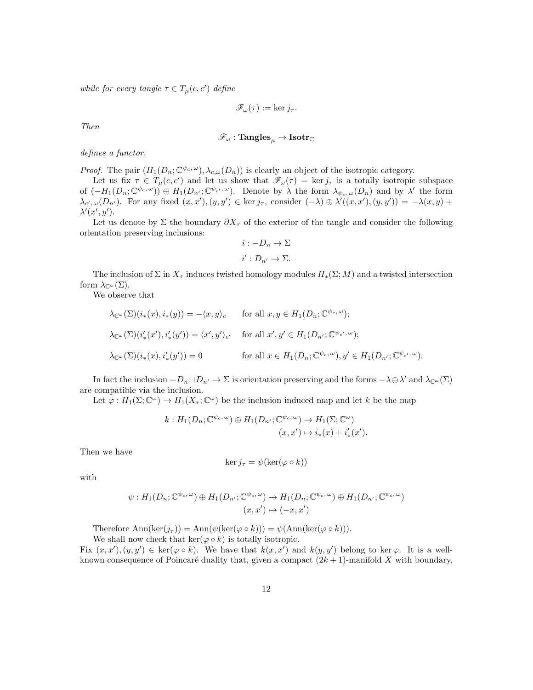while for every tangle  $\tau \in T_{\mu}(c, c')$  define

$$
\mathscr{F}_{\omega}(\tau) := \ker j_{\tau}.
$$

Then

$$
\mathscr{F}_{\omega} : \mathbf{Tangles}_{\mu} \rightarrow \mathbf{Isotr}_{\mathbb{C}}
$$

defines a functor.

*Proof.* The pair  $(H_1(D_n; \mathbb{C}^{\psi_c, \omega}), \lambda_{c, \omega}(D_n))$  is clearly an object of the isotropic category.

Let us fix  $\tau \in T_{\mu}(c, c')$  and let us show that  $\mathscr{F}_{\omega}(\tau) = \ker j_{\tau}$  is a totally isotropic subspace of  $(-H_1(D_n; \mathbb{C}^{\psi_c, \omega})) \oplus H_1(D_{n'}; \mathbb{C}^{\psi_{c'}, \omega})$ . Denote by  $\lambda$  the form  $\lambda_{\psi_c, \omega}(D_n)$  and by  $\lambda'$  the form  $\lambda_{c',\omega}(D_{n'})$ . For any fixed  $(x, x'), (y, y') \in \text{ker } j_\tau$ , consider  $(-\lambda) \oplus \lambda'((x, x'), (y, y')) = -\lambda(x, y) +$  $\lambda'(x', y').$ 

Let us denote by  $\Sigma$  the boundary  $\partial X_\tau$  of the exterior of the tangle and consider the following orientation preserving inclusions:

$$
i: -D_n \to \Sigma
$$
  

$$
i': D_{n'} \to \Sigma.
$$

The inclusion of  $\Sigma$  in  $X_\tau$  induces twisted homology modules  $H_*(\Sigma; M)$  and a twisted intersection form  $\lambda_{\mathbb{C}^{\omega}}(\Sigma)$ .

We observe that

$$
\lambda_{\mathbb{C}^{\omega}}(\Sigma)(i_{*}(x), i_{*}(y)) = -\langle x, y \rangle_{c} \quad \text{for all } x, y \in H_{1}(D_{n}; \mathbb{C}^{\psi_{c}, \omega});
$$
  

$$
\lambda_{\mathbb{C}^{\omega}}(\Sigma)(i'_{*}(x'), i'_{*}(y')) = \langle x', y' \rangle_{c'} \quad \text{for all } x', y' \in H_{1}(D_{n'}; \mathbb{C}^{\psi_{c'}, \omega});
$$
  

$$
\lambda_{\mathbb{C}^{\omega}}(\Sigma)(i_{*}(x), i'_{*}(y')) = 0 \quad \text{for all } x \in H_{1}(D_{n}; \mathbb{C}^{\psi_{c}, \omega}), y' \in H_{1}(D_{n'}; \mathbb{C}^{\psi_{c'}, \omega}).
$$

In fact the inclusion  $-D_n \sqcup D_{n'} \to \Sigma$  is orientation preserving and the forms  $-\lambda \oplus \lambda'$  and  $\lambda_{\mathbb{C}^{\omega}}(\Sigma)$ are compatible via the inclusion.

Let  $\varphi: H_1(\Sigma; \mathbb{C}^\omega) \to H_1(X_\tau; \mathbb{C}^\omega)$  be the inclusion induced map and let k be the map

$$
k: H_1(D_n; \mathbb{C}^{\psi_c, \omega}) \oplus H_1(D_{n'}; \mathbb{C}^{\psi_c, \omega}) \to H_1(\Sigma; \mathbb{C}^{\omega})
$$

$$
(x, x') \mapsto i_*(x) + i'_*(x').
$$

Then we have

$$
\ker j_{\tau} = \psi(\ker(\varphi \circ k))
$$

with

$$
\psi: H_1(D_n; \mathbb{C}^{\psi_c, \omega}) \oplus H_1(D_{n'}; \mathbb{C}^{\psi_c, \omega}) \to H_1(D_n; \mathbb{C}^{\psi_c, \omega}) \oplus H_1(D_{n'}; \mathbb{C}^{\psi_c, \omega})
$$

$$
(x, x') \mapsto (-x, x')
$$

Therefore  $\text{Ann}(\text{ker}(j_{\tau})) = \text{Ann}(\psi(\text{ker}(\varphi \circ k))) = \psi(\text{Ann}(\text{ker}(\varphi \circ k))).$ 

We shall now check that  $\ker(\varphi \circ k)$  is totally isotropic.

Fix  $(x, x'), (y, y') \in \text{ker}(\varphi \circ k)$ . We have that  $k(x, x')$  and  $k(y, y')$  belong to ker $\varphi$ . It is a wellknown consequence of Poincaré duality that, given a compact  $(2k + 1)$ -manifold X with boundary,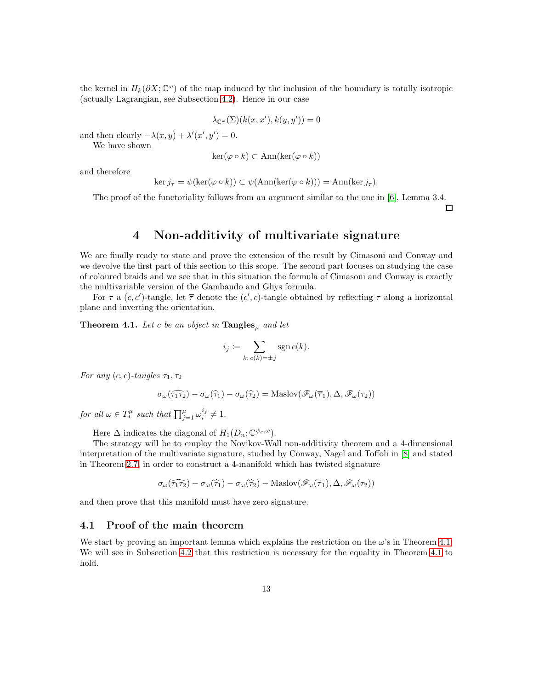the kernel in  $H_k(\partial X; \mathbb{C}^\omega)$  of the map induced by the inclusion of the boundary is totally isotropic (actually Lagrangian, see Subsection [4.2\)](#page-26-0). Hence in our case

$$
\lambda_{\mathbb{C}^{\omega}}(\Sigma)(k(x, x'), k(y, y')) = 0
$$

and then clearly  $-\lambda(x, y) + \lambda'(x', y') = 0.$ 

We have shown

$$
\ker(\varphi \circ k) \subset \text{Ann}(\ker(\varphi \circ k))
$$

and therefore

$$
\ker j_{\tau} = \psi(\ker(\varphi \circ k)) \subset \psi(\text{Ann}(\ker(\varphi \circ k))) = \text{Ann}(\ker j_{\tau}).
$$

<span id="page-12-0"></span>The proof of the functoriality follows from an argument similar to the one in [\[6\]](#page-30-10), Lemma 3.4.

 $\Box$ 

## 4 Non-additivity of multivariate signature

We are finally ready to state and prove the extension of the result by Cimasoni and Conway and we devolve the first part of this section to this scope. The second part focuses on studying the case of coloured braids and we see that in this situation the formula of Cimasoni and Conway is exactly the multivariable version of the Gambaudo and Ghys formula.

For  $\tau$  a  $(c, c')$ -tangle, let  $\overline{\tau}$  denote the  $(c', c)$ -tangle obtained by reflecting  $\tau$  along a horizontal plane and inverting the orientation.

<span id="page-12-1"></span>**Theorem 4.1.** Let c be an object in  $\mathbf{Tangles}_{\mu}$  and let

$$
i_j \coloneqq \sum_{k:\, c(k)=\pm j} \operatorname{sgn} c(k).
$$

For any  $(c, c)$ -tangles  $\tau_1, \tau_2$ 

$$
\sigma_{\omega}(\widehat{\tau_1 \tau_2}) - \sigma_{\omega}(\widehat{\tau_1}) - \sigma_{\omega}(\widehat{\tau_2}) = \text{Maslov}(\mathscr{F}_{\omega}(\overline{\tau_1}), \Delta, \mathscr{F}_{\omega}(\tau_2))
$$

for all  $\omega \in T_*^{\mu}$  such that  $\prod_{j=1}^{\mu} \omega_i^{i_j} \neq 1$ .

Here  $\Delta$  indicates the diagonal of  $H_1(D_n; \mathbb{C}^{\psi_c,\omega}).$ 

The strategy will be to employ the Novikov-Wall non-additivity theorem and a 4-dimensional interpretation of the multivariate signature, studied by Conway, Nagel and Toffoli in [\[8\]](#page-30-5) and stated in Theorem [2.7,](#page-5-1) in order to construct a 4-manifold which has twisted signature

$$
\sigma_{\omega}(\widehat{\tau_1 \tau_2}) - \sigma_{\omega}(\widehat{\tau_1}) - \sigma_{\omega}(\widehat{\tau_2}) - \text{Maslov}(\mathscr{F}_{\omega}(\overline{\tau_1}), \Delta, \mathscr{F}_{\omega}(\tau_2))
$$

and then prove that this manifold must have zero signature.

#### 4.1 Proof of the main theorem

We start by proving an important lemma which explains the restriction on the  $\omega$ 's in Theorem [4.1.](#page-12-1) We will see in Subsection [4.2](#page-26-0) that this restriction is necessary for the equality in Theorem [4.1](#page-12-1) to hold.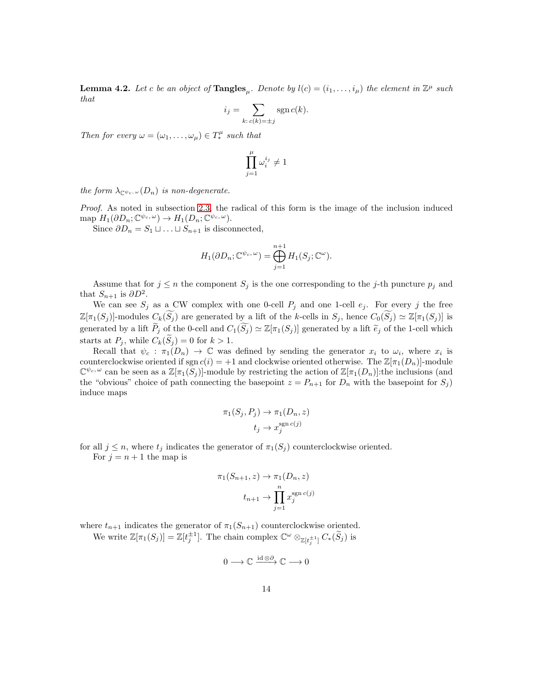<span id="page-13-0"></span>**Lemma 4.2.** Let c be an object of  $\text{Tangles}_{\mu}$ . Denote by  $l(c) = (i_1, \ldots, i_{\mu})$  the element in  $\mathbb{Z}^{\mu}$  such that

$$
i_j = \sum_{k:\,c(k)=\pm j} \operatorname{sgn} c(k).
$$

Then for every  $\omega = (\omega_1, \dots, \omega_\mu) \in T_*^\mu$  such that

$$
\prod_{j=1}^\mu \omega_i^{i_j} \neq 1
$$

the form  $\lambda_{\mathbb{C}^{\psi_c},\omega}(D_n)$  is non-degenerate.

Proof. As noted in subsection [2.3,](#page-4-1) the radical of this form is the image of the inclusion induced map  $H_1(\partial D_n; \mathbb{C}^{\psi_c, \omega}) \to H_1(D_n; \mathbb{C}^{\psi_c, \omega}).$ 

Since  $\partial D_n = S_1 \sqcup \ldots \sqcup S_{n+1}$  is disconnected,

$$
H_1(\partial D_n; \mathbb{C}^{\psi_c, \omega}) = \bigoplus_{j=1}^{n+1} H_1(S_j; \mathbb{C}^{\omega}).
$$

Assume that for  $j \leq n$  the component  $S_j$  is the one corresponding to the j-th puncture  $p_j$  and that  $S_{n+1}$  is  $\partial D^2$ .

We can see  $S_j$  as a CW complex with one 0-cell  $P_j$  and one 1-cell  $e_j$ . For every j the free  $\mathbb{Z}[\pi_1(S_j)]$ -modules  $C_k(\widetilde{S_j})$  are generated by a lift of the k-cells in  $S_j$ , hence  $C_0(\widetilde{S_j}) \simeq \mathbb{Z}[\pi_1(S_j)]$  is generated by a lift  $P_j$  of the 0-cell and  $C_1(S_j) \simeq \mathbb{Z}[\pi_1(S_j)]$  generated by a lift  $\tilde{e}_j$  of the 1-cell which starts at  $P_j$ , while  $C_k(S_j) = 0$  for  $k > 1$ .

Recall that  $\psi_c : \pi_1(D_n) \to \mathbb{C}$  was defined by sending the generator  $x_i$  to  $\omega_i$ , where  $x_i$  is counterclockwise oriented if sgn  $c(i) = +1$  and clockwise oriented otherwise. The  $\mathbb{Z}[\pi_1(D_n)]$ -module  $\mathbb{C}^{\psi_c,\omega}$  can be seen as a  $\mathbb{Z}[\pi_1(S_j)]$ -module by restricting the action of  $\mathbb{Z}[\pi_1(D_n)]$ :the inclusions (and the "obvious" choice of path connecting the basepoint  $z = P_{n+1}$  for  $D_n$  with the basepoint for  $S_j$ ) induce maps

$$
\pi_1(S_j, P_j) \to \pi_1(D_n, z)
$$

$$
t_j \to x_j^{\text{sgn } c(j)}
$$

for all  $j \leq n$ , where  $t_j$  indicates the generator of  $\pi_1(S_j)$  counterclockwise oriented. For  $j = n + 1$  the map is

$$
\pi_1(S_{n+1}, z) \to \pi_1(D_n, z)
$$

$$
t_{n+1} \to \prod_{j=1}^n x_j^{\text{sgn } c(j)}
$$

where  $t_{n+1}$  indicates the generator of  $\pi_1(S_{n+1})$  counterclockwise oriented.

We write  $\mathbb{Z}[\pi_1(S_j)] = \mathbb{Z}[t_j^{\pm 1}]$ . The chain complex  $\mathbb{C}^{\omega} \otimes_{\mathbb{Z}[t_j^{\pm 1}]} C_*(\widetilde{S}_j)$  is

$$
0 \longrightarrow \mathbb{C} \xrightarrow{\mathrm{id} \otimes \partial} \mathbb{C} \longrightarrow 0
$$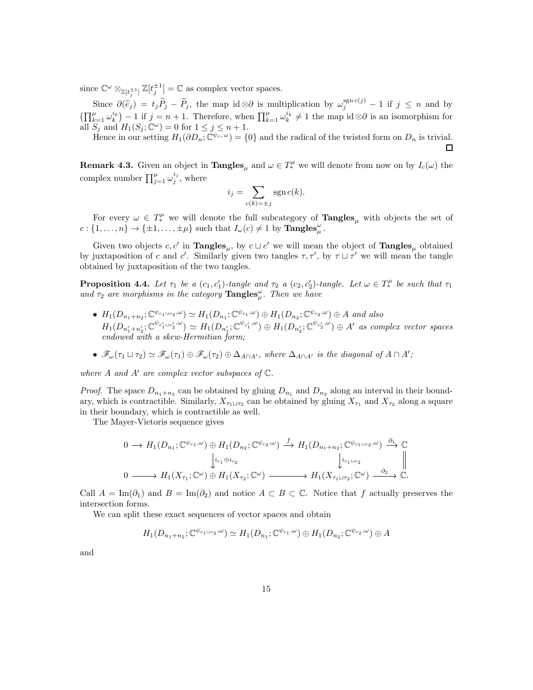since  $\mathbb{C}^{\omega} \otimes_{\mathbb{Z}[t_i^{\pm 1}]} \mathbb{Z}[t_j^{\pm 1}] = \mathbb{C}$  as complex vector spaces. j

Since  $\partial(\tilde{e}_j) = t_j \tilde{P}_j - \tilde{P}_j$ , the map id ⊗ $\partial$  is multiplication by  $\omega_j^{\text{sgn } c(j)} - 1$  if  $j \leq n$  and by  $\left(\prod_{k=1}^{\mu} \omega_k^{i_k}\right) - 1$  if  $j = n + 1$ . Therefore, when  $\prod_{k=1}^{\mu} \omega_k^{i_k} \neq 1$  the map id ⊗∂ is an isomorphism for all  $S_j$  and  $H_1(S_j; \mathbb{C}^{\omega}) = 0$  for  $1 \leq j \leq n+1$ .

Hence in our setting  $H_1(\partial D_n; \mathbb{C}^{\psi_c, \omega}) = \{0\}$  and the radical of the twisted form on  $D_n$  is trivial. □

**Remark 4.3.** Given an object in  $\mathbf{Tangles}_{\mu}$  and  $\omega \in T^{\mu}_{*}$  we will denote from now on by  $I_c(\omega)$  the complex number  $\prod_{j=1}^{\mu} \omega_j^{i_j}$ , where

$$
i_j = \sum_{c(k)=\pm j} \operatorname{sgn} c(k).
$$

For every  $\omega \in T_*^{\mu}$  we will denote the full subcategory of  $\text{Tangles}_{\mu}$  with objects the set of  $c: \{1, \ldots, n\} \to \{\pm 1, \ldots, \pm \mu\}$  such that  $I_{\omega}(c) \neq 1$  by  $\text{Tangles}_{\mu}^{\omega}$ .

Given two objects  $c, c'$  in **Tangles**<sub> $\mu$ </sub>, by  $c \sqcup c'$  we will mean the object of **Tangles**<sub> $\mu$ </sub> obtained by juxtaposition of c and c'. Similarly given two tangles  $\tau, \tau'$ , by  $\tau \sqcup \tau'$  we will mean the tangle obtained by juxtaposition of the two tangles.

<span id="page-14-0"></span>**Proposition 4.4.** Let  $\tau_1$  be a  $(c_1, c'_1)$ -tangle and  $\tau_2$  a  $(c_2, c'_2)$ -tangle. Let  $\omega \in T_*^{\mu}$  be such that  $\tau_1$ and  $\tau_2$  are morphisms in the category  $\mathbf{Tangles}_{\mu}^{\omega}$ . Then we have

- $H_1(D_{n_1+n_2}; \mathbb{C}^{\psi_{c_1\sqcup c_2}, \omega}) \simeq H_1(D_{n_1}; \mathbb{C}^{\psi_{c_1}, \omega}) \oplus H_1(D_{n_2}; \mathbb{C}^{\psi_{c_2}, \omega}) \oplus A$  and also  $H_1(D_{n'_1+n'_2};\mathbb{C}^{\psi_{c'_1\cup c'_2},\omega}) \simeq H_1(D_{n'_1};\mathbb{C}^{\psi_{c'_1},\omega}) \oplus H_1(D_{n'_2};\mathbb{C}^{\psi_{c'_2},\omega}) \oplus A'$  as complex vector spaces endowed with a skew-Hermitian form;
- $\mathscr{F}_{\omega}(\tau_1 \sqcup \tau_2) \simeq \mathscr{F}_{\omega}(\tau_1) \oplus \mathscr{F}_{\omega}(\tau_2) \oplus \Delta_{A \cap A'}$ , where  $\Delta_{A \cap A'}$  is the diagonal of  $A \cap A'$ ;

where A and A' are complex vector subspaces of  $\mathbb{C}$ .

*Proof.* The space  $D_{n_1+n_2}$  can be obtained by gluing  $D_{n_1}$  and  $D_{n_2}$  along an interval in their boundary, which is contractible. Similarly,  $X_{\tau_1 \sqcup \tau_2}$  can be obtained by gluing  $X_{\tau_1}$  and  $X_{\tau_2}$  along a square in their boundary, which is contractible as well.

The Mayer-Vietoris sequence gives

$$
0 \longrightarrow H_1(D_{n_1}; \mathbb{C}^{\psi_{c_1}, \omega}) \oplus H_1(D_{n_2}; \mathbb{C}^{\psi_{c_2}, \omega}) \stackrel{f}{\longrightarrow} H_1(D_{n_1+n_2}; \mathbb{C}^{\psi_{c_1 \sqcup c_2}, \omega}) \stackrel{\partial_1}{\longrightarrow} \mathbb{C}
$$
  

$$
\downarrow i_{c_1 \oplus i_{c_2}} \qquad \qquad \downarrow i_{c_1 \sqcup c_2} \qquad \qquad \downarrow i_{c_1 \sqcup c_2}
$$
  

$$
0 \longrightarrow H_1(X_{\tau_1}; \mathbb{C}^{\omega}) \oplus H_1(X_{\tau_2}; \mathbb{C}^{\omega}) \longrightarrow H_1(X_{\tau_1 \sqcup \tau_2}; \mathbb{C}^{\omega}) \stackrel{\partial_2}{\longrightarrow} \mathbb{C}.
$$

Call  $A = \text{Im}(\partial_1)$  and  $B = \text{Im}(\partial_2)$  and notice  $A \subset B \subset \mathbb{C}$ . Notice that f actually preserves the intersection forms.

We can split these exact sequences of vector spaces and obtain

$$
H_1(D_{n_1+n_2}; \mathbb{C}^{\psi_{c_1\cup c_2},\omega}) \simeq H_1(D_{n_1}; \mathbb{C}^{\psi_{c_1},\omega}) \oplus H_1(D_{n_2}; \mathbb{C}^{\psi_{c_2},\omega}) \oplus A
$$

and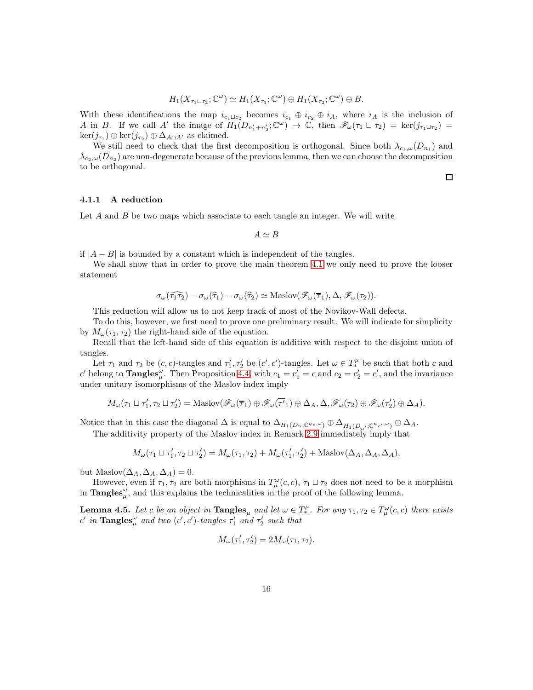$$
H_1(X_{\tau_1 \sqcup \tau_2}; \mathbb{C}^{\omega}) \simeq H_1(X_{\tau_1}; \mathbb{C}^{\omega}) \oplus H_1(X_{\tau_2}; \mathbb{C}^{\omega}) \oplus B.
$$

With these identifications the map  $i_{c_1\sqcup c_2}$  becomes  $i_{c_1} \oplus i_{c_2} \oplus i_A$ , where  $i_A$  is the inclusion of A in B. If we call A' the image of  $H_1(D_{n'_1+n'_2};\mathbb{C}^{\omega}) \to \mathbb{C}$ , then  $\mathscr{F}_{\omega}(\tau_1 \sqcup \tau_2) = \ker(j_{\tau_1 \sqcup \tau_2}) =$  $\ker(j_{\tau_1}) \oplus \ker(j_{\tau_2}) \oplus \Delta_{A \cap A'}$  as claimed.

We still need to check that the first decomposition is orthogonal. Since both  $\lambda_{c_1,\omega}(D_{n_1})$  and  $\lambda_{c_2,\omega}(D_{n_2})$  are non-degenerate because of the previous lemma, then we can choose the decomposition to be orthogonal.

4.1.1 A reduction

Let  $A$  and  $B$  be two maps which associate to each tangle an integer. We will write

 $A \simeq B$ 

if  $|A - B|$  is bounded by a constant which is independent of the tangles.

We shall show that in order to prove the main theorem [4.1](#page-12-1) we only need to prove the looser statement

$$
\sigma_{\omega}(\widehat{\tau_1 \tau_2}) - \sigma_{\omega}(\widehat{\tau}_1) - \sigma_{\omega}(\widehat{\tau}_2) \simeq \text{Maslov}(\mathscr{F}_{\omega}(\overline{\tau}_1), \Delta, \mathscr{F}_{\omega}(\tau_2)).
$$

This reduction will allow us to not keep track of most of the Novikov-Wall defects.

To do this, however, we first need to prove one preliminary result. We will indicate for simplicity by  $M_{\omega}(\tau_1, \tau_2)$  the right-hand side of the equation.

Recall that the left-hand side of this equation is additive with respect to the disjoint union of tangles.

Let  $\tau_1$  and  $\tau_2$  be  $(c, c)$ -tangles and  $\tau'_1, \tau'_2$  be  $(c', c')$ -tangles. Let  $\omega \in T_*^{\mu}$  be such that both c and c' belong to **Tangles**  $\mu$ . Then Proposition [4.4,](#page-14-0) with  $c_1 = c_1' = c$  and  $c_2 = c_2' = c'$ , and the invariance under unitary isomorphisms of the Maslov index imply

$$
M_{\omega}(\tau_1 \sqcup \tau_1', \tau_2 \sqcup \tau_2') = \text{Maslov}(\mathscr{F}_{\omega}(\overline{\tau}_1) \oplus \mathscr{F}_{\omega}(\overline{\tau'}_1) \oplus \Delta_A, \Delta, \mathscr{F}_{\omega}(\tau_2) \oplus \mathscr{F}_{\omega}(\tau_2') \oplus \Delta_A).
$$

Notice that in this case the diagonal  $\Delta$  is equal to  $\Delta_{H_1(D_n;\mathbb{C}^{\psi_c,\omega})}\oplus \Delta_{H_1(D_{n'};\mathbb{C}^{\psi_{c'},\omega})}\oplus \Delta_A$ .

The additivity property of the Maslov index in Remark [2.9](#page-6-0) immediately imply that

$$
M_{\omega}(\tau_1 \sqcup \tau_1', \tau_2 \sqcup \tau_2') = M_{\omega}(\tau_1, \tau_2) + M_{\omega}(\tau_1', \tau_2') + \text{Maslov}(\Delta_A, \Delta_A, \Delta_A),
$$

but Maslov $(\Delta_A, \Delta_A, \Delta_A) = 0$ .

However, even if  $\tau_1, \tau_2$  are both morphisms in  $T^{\omega}_{\mu}(c, c), \tau_1 \sqcup \tau_2$  does not need to be a morphism in **Tangles**<sup> $\omega$ </sup>, and this explains the technicalities in the proof of the following lemma.

<span id="page-15-0"></span>**Lemma 4.5.** Let c be an object in  $\mathbf{Tangles}_{\mu}$  and let  $\omega \in T^{\mu}_{*}$ . For any  $\tau_1, \tau_2 \in T^{\omega}_{\mu}(c, c)$  there exists c' in  $\mathbf{Tangles}_{\mu}^{\omega}$  and two  $(c', c')$ -tangles  $\tau'_1$  and  $\tau'_2$  such that

$$
M_{\omega}(\tau_1', \tau_2') = 2M_{\omega}(\tau_1, \tau_2).
$$

 $\Box$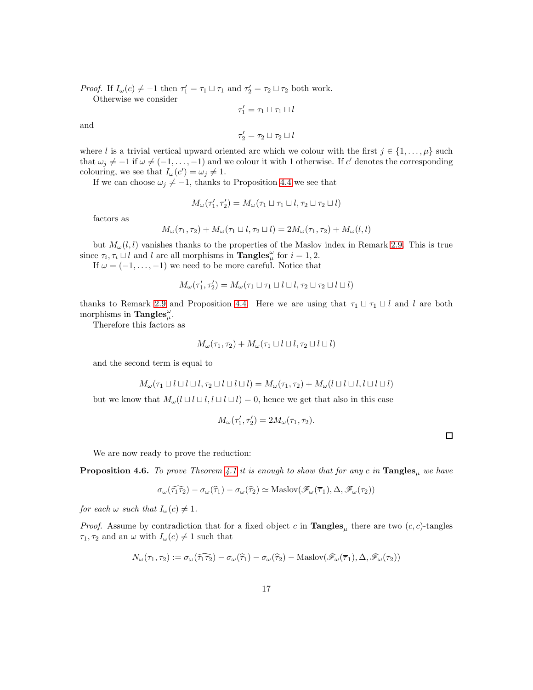*Proof.* If  $I_{\omega}(c) \neq -1$  then  $\tau_1' = \tau_1 \sqcup \tau_1$  and  $\tau_2' = \tau_2 \sqcup \tau_2$  both work.

Otherwise we consider

 $\tau'_1 = \tau_1 \sqcup \tau_1 \sqcup l$ 

and

$$
\tau_2' = \tau_2 \sqcup \tau_2 \sqcup l
$$

where l is a trivial vertical upward oriented arc which we colour with the first  $j \in \{1, \ldots, \mu\}$  such that  $\omega_j \neq -1$  if  $\omega \neq (-1, \ldots, -1)$  and we colour it with 1 otherwise. If c' denotes the corresponding colouring, we see that  $I_{\omega}(c') = \omega_j \neq 1$ .

If we can choose  $\omega_j \neq -1$ , thanks to Proposition [4.4](#page-14-0) we see that

$$
M_\omega(\tau_1',\tau_2') = M_\omega(\tau_1 \sqcup \tau_1 \sqcup l, \tau_2 \sqcup \tau_2 \sqcup l)
$$

factors as

$$
M_{\omega}(\tau_1, \tau_2) + M_{\omega}(\tau_1 \sqcup l, \tau_2 \sqcup l) = 2M_{\omega}(\tau_1, \tau_2) + M_{\omega}(l, l)
$$

but  $M_{\omega}(l, l)$  vanishes thanks to the properties of the Maslov index in Remark [2.9.](#page-6-0) This is true since  $\tau_i, \tau_i \sqcup l$  and l are all morphisms in **Tangles**<sup> $\omega$ </sup> for  $i = 1, 2$ .

If  $\omega = (-1, \ldots, -1)$  we need to be more careful. Notice that

$$
M_{\omega}(\tau_1', \tau_2') = M_{\omega}(\tau_1 \sqcup \tau_1 \sqcup l \sqcup l, \tau_2 \sqcup \tau_2 \sqcup l \sqcup l)
$$

thanks to Remark [2.9](#page-6-0) and Proposition [4.4.](#page-14-0) Here we are using that  $\tau_1 \sqcup \tau_1 \sqcup l$  and l are both morphisms in  $\text{Tangles}_{\mu}^{\omega}$ .

Therefore this factors as

$$
M_{\omega}(\tau_1, \tau_2) + M_{\omega}(\tau_1 \sqcup l \sqcup l, \tau_2 \sqcup l \sqcup l)
$$

and the second term is equal to

$$
M_{\omega}(\tau_1 \sqcup l \sqcup l \sqcup l, \tau_2 \sqcup l \sqcup l \sqcup l) = M_{\omega}(\tau_1, \tau_2) + M_{\omega}(l \sqcup l \sqcup l, l \sqcup l \sqcup l)
$$

but we know that  $M_{\omega}(l \sqcup l \sqcup l, l \sqcup l \sqcup l) = 0$ , hence we get that also in this case

$$
M_\omega(\tau_1',\tau_2')=2M_\omega(\tau_1,\tau_2).
$$

We are now ready to prove the reduction:

<span id="page-16-0"></span>**Proposition 4.6.** To prove Theorem [4.1](#page-12-1) it is enough to show that for any c in  $\text{Tangles}_{\mu}$  we have

$$
\sigma_{\omega}(\widehat{\tau_1 \tau_2}) - \sigma_{\omega}(\widehat{\tau_1}) - \sigma_{\omega}(\widehat{\tau_2}) \simeq \text{Maslov}(\mathscr{F}_{\omega}(\overline{\tau_1}), \Delta, \mathscr{F}_{\omega}(\tau_2))
$$

for each  $\omega$  such that  $I_{\omega}(c) \neq 1$ .

*Proof.* Assume by contradiction that for a fixed object c in  $\text{Tangles}_{\mu}$  there are two  $(c, c)$ -tangles  $\tau_1, \tau_2$  and an  $\omega$  with  $I_\omega(c) \neq 1$  such that

$$
N_{\omega}(\tau_1, \tau_2) := \sigma_{\omega}(\widehat{\tau_1 \tau_2}) - \sigma_{\omega}(\widehat{\tau}_1) - \sigma_{\omega}(\widehat{\tau}_2) - \text{Maslov}(\mathscr{F}_{\omega}(\overline{\tau}_1), \Delta, \mathscr{F}_{\omega}(\tau_2))
$$

 $\Box$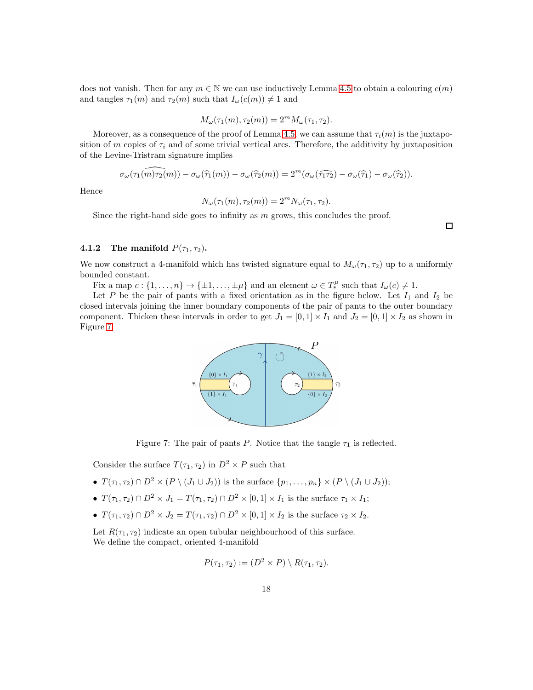does not vanish. Then for any  $m \in \mathbb{N}$  we can use inductively Lemma [4.5](#page-15-0) to obtain a colouring  $c(m)$ and tangles  $\tau_1(m)$  and  $\tau_2(m)$  such that  $I_\omega(c(m)) \neq 1$  and

$$
M_{\omega}(\tau_1(m), \tau_2(m)) = 2^m M_{\omega}(\tau_1, \tau_2).
$$

Moreover, as a consequence of the proof of Lemma [4.5,](#page-15-0) we can assume that  $\tau_i(m)$  is the juxtaposition of m copies of  $\tau_i$  and of some trivial vertical arcs. Therefore, the additivity by juxtaposition of the Levine-Tristram signature implies

$$
\sigma_{\omega}(\widehat{\tau_1(m)\tau_2}(m)) - \sigma_{\omega}(\widehat{\tau}_1(m)) - \sigma_{\omega}(\widehat{\tau}_2(m)) = 2^m (\sigma_{\omega}(\widehat{\tau_1 \tau_2}) - \sigma_{\omega}(\widehat{\tau}_1) - \sigma_{\omega}(\widehat{\tau}_2)).
$$

Hence

$$
N_{\omega}(\tau_1(m), \tau_2(m)) = 2^m N_{\omega}(\tau_1, \tau_2).
$$

Since the right-hand side goes to infinity as  $m$  grows, this concludes the proof.

 $\Box$ 

#### 4.1.2 The manifold  $P(\tau_1, \tau_2)$ .

We now construct a 4-manifold which has twisted signature equal to  $M_{\omega}(\tau_1, \tau_2)$  up to a uniformly bounded constant.

Fix a map  $c: \{1, \ldots, n\} \to \{\pm 1, \ldots, \pm \mu\}$  and an element  $\omega \in T_*^\mu$  such that  $I_\omega(c) \neq 1$ .

Let P be the pair of pants with a fixed orientation as in the figure below. Let  $I_1$  and  $I_2$  be closed intervals joining the inner boundary components of the pair of pants to the outer boundary component. Thicken these intervals in order to get  $J_1 = [0, 1] \times I_1$  and  $J_2 = [0, 1] \times I_2$  as shown in Figure [7.](#page-17-0)



<span id="page-17-0"></span>Figure 7: The pair of pants P. Notice that the tangle  $\tau_1$  is reflected.

Consider the surface  $T(\tau_1, \tau_2)$  in  $D^2 \times P$  such that

- $T(\tau_1, \tau_2) \cap D^2 \times (P \setminus (J_1 \cup J_2))$  is the surface  $\{p_1, \ldots, p_n\} \times (P \setminus (J_1 \cup J_2))$ ;
- $T(\tau_1, \tau_2) \cap D^2 \times J_1 = T(\tau_1, \tau_2) \cap D^2 \times [0, 1] \times I_1$  is the surface  $\tau_1 \times I_1$ ;
- $T(\tau_1, \tau_2) \cap D^2 \times J_2 = T(\tau_1, \tau_2) \cap D^2 \times [0, 1] \times I_2$  is the surface  $\tau_2 \times I_2$ .

Let  $R(\tau_1, \tau_2)$  indicate an open tubular neighbourhood of this surface. We define the compact, oriented 4-manifold

$$
P(\tau_1, \tau_2) := (D^2 \times P) \setminus R(\tau_1, \tau_2).
$$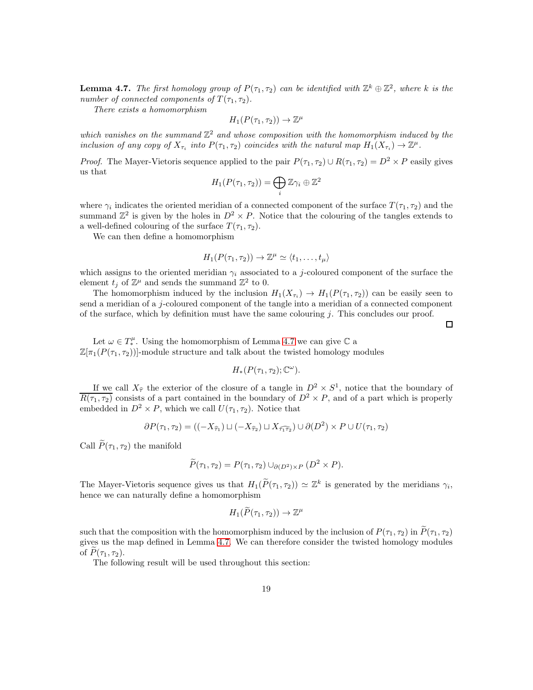<span id="page-18-0"></span>**Lemma 4.7.** The first homology group of  $P(\tau_1, \tau_2)$  can be identified with  $\mathbb{Z}^k \oplus \mathbb{Z}^2$ , where k is the number of connected components of  $T(\tau_1, \tau_2)$ .

There exists a homomorphism

$$
H_1(P(\tau_1, \tau_2)) \to \mathbb{Z}^\mu
$$

which vanishes on the summand  $\mathbb{Z}^2$  and whose composition with the homomorphism induced by the inclusion of any copy of  $X_{\tau_i}$  into  $P(\tau_1, \tau_2)$  coincides with the natural map  $H_1(X_{\tau_i}) \to \mathbb{Z}^{\mu}$ .

*Proof.* The Mayer-Vietoris sequence applied to the pair  $P(\tau_1, \tau_2) \cup R(\tau_1, \tau_2) = D^2 \times P$  easily gives us that

$$
H_1(P(\tau_1, \tau_2)) = \bigoplus_i \mathbb{Z} \gamma_i \oplus \mathbb{Z}^2
$$

where  $\gamma_i$  indicates the oriented meridian of a connected component of the surface  $T(\tau_1, \tau_2)$  and the summand  $\mathbb{Z}^2$  is given by the holes in  $D^2 \times P$ . Notice that the colouring of the tangles extends to a well-defined colouring of the surface  $T(\tau_1, \tau_2)$ .

We can then define a homomorphism

$$
H_1(P(\tau_1, \tau_2)) \to \mathbb{Z}^{\mu} \simeq \langle t_1, \ldots, t_{\mu} \rangle
$$

which assigns to the oriented meridian  $\gamma_i$  associated to a j-coloured component of the surface the element  $t_j$  of  $\mathbb{Z}^{\mu}$  and sends the summand  $\mathbb{Z}^2$  to 0.

The homomorphism induced by the inclusion  $H_1(X_{\tau_i}) \to H_1(P(\tau_1, \tau_2))$  can be easily seen to send a meridian of a j-coloured component of the tangle into a meridian of a connected component of the surface, which by definition must have the same colouring j. This concludes our proof.

 $\Box$ 

Let  $\omega \in T^{\mu}_{*}$ . Using the homomorphism of Lemma [4.7](#page-18-0) we can give  $\mathbb C$  a  $\mathbb{Z}[\pi_1(P(\tau_1, \tau_2))]$ -module structure and talk about the twisted homology modules

$$
H_*(P(\tau_1, \tau_2); \mathbb{C}^{\omega}).
$$

If we call  $X_{\hat{\tau}}$  the exterior of the closure of a tangle in  $D^2 \times S^1$ , notice that the boundary of  $\overline{R(\tau_1,\tau_2)}$  consists of a part contained in the boundary of  $D^2 \times P$ , and of a part which is properly embedded in  $D^2 \times P$ , which we call  $U(\tau_1, \tau_2)$ . Notice that

$$
\partial P(\tau_1, \tau_2) = ((-X_{\widehat{\tau}_1}) \sqcup (-X_{\widehat{\tau}_2}) \sqcup X_{\widehat{\tau_1 \tau_2}}) \cup \partial(D^2) \times P \cup U(\tau_1, \tau_2)
$$

Call  $\widetilde{P}(\tau_1, \tau_2)$  the manifold

$$
\widetilde{P}(\tau_1, \tau_2) = P(\tau_1, \tau_2) \cup_{\partial(D^2) \times P} (D^2 \times P).
$$

The Mayer-Vietoris sequence gives us that  $H_1(\widetilde{P}(\tau_1, \tau_2)) \simeq \mathbb{Z}^k$  is generated by the meridians  $\gamma_i$ , hence we can naturally define a homomorphism

$$
H_1(\widetilde{P}(\tau_1,\tau_2)) \to \mathbb{Z}^\mu
$$

such that the composition with the homomorphism induced by the inclusion of  $P(\tau_1, \tau_2)$  in  $\widetilde{P}(\tau_1, \tau_2)$ gives us the map defined in Lemma [4.7.](#page-18-0) We can therefore consider the twisted homology modules of  $P(\tau_1, \tau_2)$ .

The following result will be used throughout this section: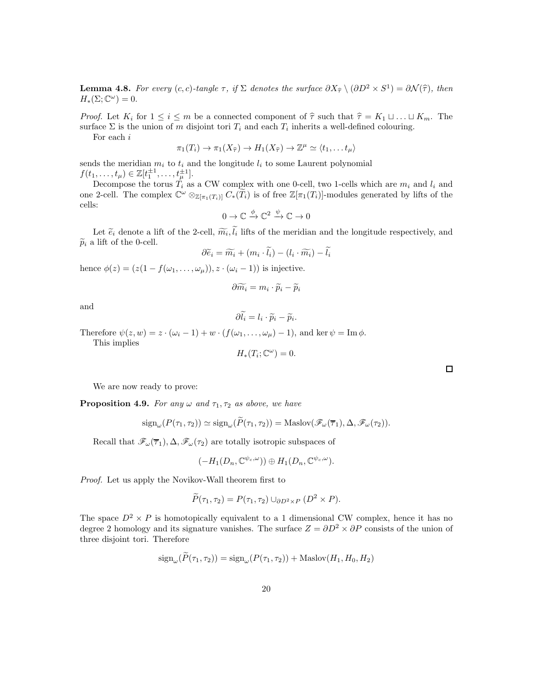<span id="page-19-0"></span>**Lemma 4.8.** For every  $(c, c)$ -tangle  $\tau$ , if  $\Sigma$  denotes the surface  $\partial X_{\hat{\tau}} \setminus (\partial D^2 \times S^1) = \partial \mathcal{N}(\hat{\tau})$ , then  $H_*(\Sigma; \mathbb{C}^{\omega}) = 0.$ 

*Proof.* Let  $K_i$  for  $1 \le i \le m$  be a connected component of  $\hat{\tau}$  such that  $\hat{\tau} = K_1 \sqcup \ldots \sqcup K_m$ . The surface  $\Sigma$  is the union of m disjoint tori  $T_i$  and each  $T_i$  inherits a well-defined colouring.

For each i

$$
\pi_1(T_i) \to \pi_1(X_{\widehat{\tau}}) \to H_1(X_{\widehat{\tau}}) \to \mathbb{Z}^{\mu} \simeq \langle t_1, \dots t_{\mu} \rangle
$$

sends the meridian  $m_i$  to  $t_i$  and the longitude  $l_i$  to some Laurent polynomial  $f(t_1, ..., t_\mu) \in \mathbb{Z}[t_1^{\pm 1}, ..., t_\mu^{\pm 1}].$ 

Decompose the torus  $T_i$  as a CW complex with one 0-cell, two 1-cells which are  $m_i$  and  $l_i$  and one 2-cell. The complex  $\mathbb{C}^{\omega} \otimes_{\mathbb{Z}[\pi_1(T_i)]} C_*(\widetilde{T}_i)$  is of free  $\mathbb{Z}[\pi_1(T_i)]$ -modules generated by lifts of the cells:

$$
0 \to \mathbb{C} \xrightarrow{\phi} \mathbb{C}^2 \xrightarrow{\psi} \mathbb{C} \to 0
$$

Let  $\tilde{e}_i$  denote a lift of the 2-cell,  $\widetilde{m}_i, l_i$  lifts of the meridian and the longitude respectively, and  $\widetilde{p}_i$  a lift of the 0-cell.

$$
\partial \widetilde{e}_i = \widetilde{m}_i + (m_i \cdot l_i) - (l_i \cdot \widetilde{m}_i) - l_i
$$

hence  $\phi(z) = (z(1 - f(\omega_1, \ldots, \omega_\mu)), z \cdot (\omega_i - 1))$  is injective.

$$
\partial \widetilde{m_i} = m_i \cdot \widetilde{p}_i - \widetilde{p}_i
$$

and

$$
\partial l_i = l_i \cdot \widetilde{p}_i - \widetilde{p}_i
$$

.

Therefore  $\psi(z, w) = z \cdot (\omega_i - 1) + w \cdot (f(\omega_1, \dots, \omega_\mu) - 1)$ , and ker  $\psi = \text{Im } \phi$ .

This implies

$$
H_*(T_i; \mathbb{C}^{\omega}) = 0.
$$

We are now ready to prove:

<span id="page-19-1"></span>**Proposition 4.9.** For any  $\omega$  and  $\tau_1, \tau_2$  as above, we have

$$
\mathrm{sign}_{\omega}(P(\tau_1, \tau_2)) \simeq \mathrm{sign}_{\omega}(\widetilde{P}(\tau_1, \tau_2)) = \mathrm{Maslov}(\mathscr{F}_{\omega}(\overline{\tau}_1), \Delta, \mathscr{F}_{\omega}(\tau_2)).
$$

Recall that  $\mathscr{F}_{\omega}(\overline{\tau}_1), \Delta, \mathscr{F}_{\omega}(\tau_2)$  are totally isotropic subspaces of

$$
(-H_1(D_n, \mathbb{C}^{\psi_c, \omega})) \oplus H_1(D_n, \mathbb{C}^{\psi_c, \omega}).
$$

Proof. Let us apply the Novikov-Wall theorem first to

$$
\widetilde{P}(\tau_1, \tau_2) = P(\tau_1, \tau_2) \cup_{\partial D^2 \times P} (D^2 \times P).
$$

The space  $D^2 \times P$  is homotopically equivalent to a 1 dimensional CW complex, hence it has no degree 2 homology and its signature vanishes. The surface  $Z = \partial D^2 \times \partial P$  consists of the union of three disjoint tori. Therefore

$$
\operatorname{sign}_{\omega}(P(\tau_1, \tau_2)) = \operatorname{sign}_{\omega}(P(\tau_1, \tau_2)) + \operatorname{Maslov}(H_1, H_0, H_2)
$$

 $\Box$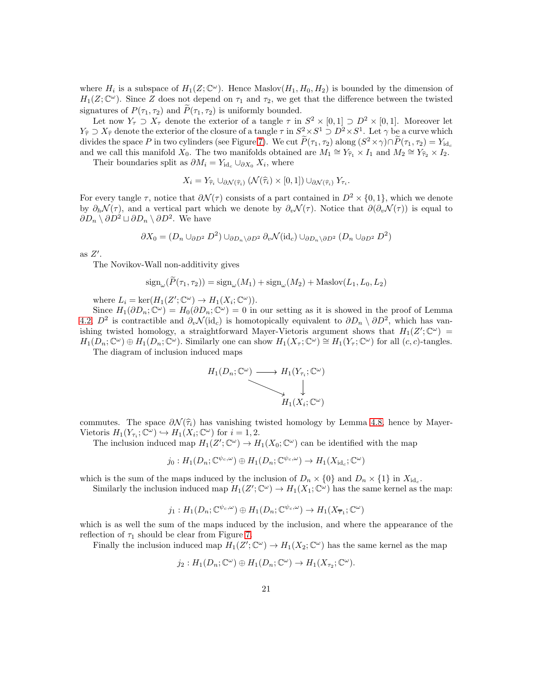where  $H_i$  is a subspace of  $H_1(Z; \mathbb{C}^{\omega})$ . Hence Maslov $(H_1, H_0, H_2)$  is bounded by the dimension of  $H_1(Z; \mathbb{C}^{\omega})$ . Since Z does not depend on  $\tau_1$  and  $\tau_2$ , we get that the difference between the twisted signatures of  $P(\tau_1, \tau_2)$  and  $P(\tau_1, \tau_2)$  is uniformly bounded.

Let now  $Y_\tau \supset X_\tau$  denote the exterior of a tangle  $\tau$  in  $S^2 \times [0,1] \supset D^2 \times [0,1]$ . Moreover let  $Y_{\hat{\tau}} \supset X_{\hat{\tau}}$  denote the exterior of the closure of a tangle  $\tau$  in  $S^2 \times S^1 \supset D^2 \times S^1$ . Let  $\gamma$  be a curve which divides the space P in two cylinders (see Figure [7\)](#page-17-0). We cut  $P(\tau_1, \tau_2)$  along  $(S^2 \times \gamma) \cap P(\tau_1, \tau_2) = Y_{\text{id}_c}$ and we call this manifold  $X_0$ . The two manifolds obtained are  $M_1 \cong Y_{\widehat{\tau}_1} \times I_1$  and  $M_2 \cong Y_{\widehat{\tau}_2} \times I_2$ .

Their boundaries split as  $\partial M_i = Y_{\text{id}_c} \cup_{\partial X_0} X_i$ , where

$$
X_i = Y_{\widehat{\tau}_i} \cup_{\partial \mathcal{N}(\widehat{\tau}_i)} (\mathcal{N}(\widehat{\tau}_i) \times [0,1]) \cup_{\partial \mathcal{N}(\widehat{\tau}_i)} Y_{\tau_i}.
$$

For every tangle  $\tau$ , notice that  $\partial \mathcal{N}(\tau)$  consists of a part contained in  $D^2 \times \{0,1\}$ , which we denote by  $\partial_h \mathcal{N}(\tau)$ , and a vertical part which we denote by  $\partial_v \mathcal{N}(\tau)$ . Notice that  $\partial(\partial_v \mathcal{N}(\tau))$  is equal to  $\partial D_n \setminus \partial D^2 \sqcup \partial D_n \setminus \partial D^2$ . We have

$$
\partial X_0 = (D_n \cup_{\partial D^2} D^2) \cup_{\partial D_n \setminus \partial D^2} \partial_v \mathcal{N}(\mathrm{id}_c) \cup_{\partial D_n \setminus \partial D^2} (D_n \cup_{\partial D^2} D^2)
$$

as  $Z'$ .

The Novikov-Wall non-additivity gives

$$
\operatorname{sign}_{\omega}(P(\tau_1, \tau_2)) = \operatorname{sign}_{\omega}(M_1) + \operatorname{sign}_{\omega}(M_2) + \operatorname{Maslov}(L_1, L_0, L_2)
$$

where  $L_i = \ker(H_1(Z'; \mathbb{C}^\omega) \to H_1(X_i; \mathbb{C}^\omega)).$ 

Since  $H_1(\partial D_n; \mathbb{C}^{\omega}) = H_0(\partial D_n; \mathbb{C}^{\omega}) = 0$  in our setting as it is showed in the proof of Lemma [4.2,](#page-13-0)  $D^2$  is contractible and  $\partial_v \mathcal{N}(\mathrm{id}_c)$  is homotopically equivalent to  $\partial D_n \setminus \partial D^2$ , which has vanishing twisted homology, a straightforward Mayer-Vietoris argument shows that  $H_1(Z';\mathbb{C}^\omega)$  =  $H_1(D_n; \mathbb{C}^\omega) \oplus H_1(D_n; \mathbb{C}^\omega)$ . Similarly one can show  $H_1(X_\tau; \mathbb{C}^\omega) \cong H_1(Y_\tau; \mathbb{C}^\omega)$  for all  $(c, c)$ -tangles.

The diagram of inclusion induced maps



commutes. The space  $\partial \mathcal{N}(\hat{\tau}_i)$  has vanishing twisted homology by Lemma [4.8,](#page-19-0) hence by Mayer-Vietoris  $H_1(Y_{\tau_i}; \mathbb{C}^{\omega}) \hookrightarrow H_1(X_i; \mathbb{C}^{\omega})$  for  $i = 1, 2$ .

The inclusion induced map  $H_1(Z'; \mathbb{C}^\omega) \to H_1(X_0; \mathbb{C}^\omega)$  can be identified with the map

$$
j_0: H_1(D_n; \mathbb{C}^{\psi_c, \omega}) \oplus H_1(D_n; \mathbb{C}^{\psi_c, \omega}) \to H_1(X_{\mathrm{id}_c}; \mathbb{C}^{\omega})
$$

which is the sum of the maps induced by the inclusion of  $D_n \times \{0\}$  and  $D_n \times \{1\}$  in  $X_{\text{id}_c}$ .

Similarly the inclusion induced map 
$$
H_1(Z'; \mathbb{C}^{\omega}) \to H_1(X_1; \mathbb{C}^{\omega})
$$
 has the same kernel as the map:

$$
j_1: H_1(D_n; \mathbb{C}^{\psi_c, \omega}) \oplus H_1(D_n; \mathbb{C}^{\psi_c, \omega}) \to H_1(X_{\overline{\tau}_1}; \mathbb{C}^{\omega})
$$

which is as well the sum of the maps induced by the inclusion, and where the appearance of the reflection of  $\tau_1$  should be clear from Figure [7.](#page-17-0)

Finally the inclusion induced map  $H_1(Z'; \mathbb{C}^\omega) \to H_1(X_2; \mathbb{C}^\omega)$  has the same kernel as the map

$$
j_2: H_1(D_n; \mathbb{C}^{\omega}) \oplus H_1(D_n; \mathbb{C}^{\omega}) \to H_1(X_{\tau_2}; \mathbb{C}^{\omega}).
$$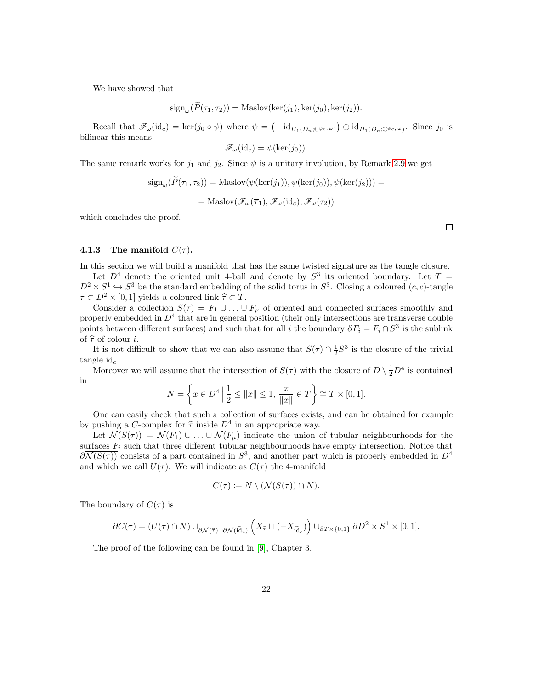We have showed that

$$
\operatorname{sign}_{\omega}(\tilde{P}(\tau_1, \tau_2)) = \operatorname{Maslov}(\ker(j_1), \ker(j_0), \ker(j_2)).
$$

Recall that  $\mathscr{F}_{\omega}(\mathrm{id}_c) = \ker(j_0 \circ \psi)$  where  $\psi = (-\mathrm{id}_{H_1(D_n; \mathbb{C}^{\psi_c, \omega})}) \oplus \mathrm{id}_{H_1(D_n; \mathbb{C}^{\psi_c, \omega})}$ . Since  $j_0$  is bilinear this means

$$
\mathscr{F}_{\omega}(\mathrm{id}_c) = \psi(\mathrm{ker}(j_0)).
$$

The same remark works for  $j_1$  and  $j_2$ . Since  $\psi$  is a unitary involution, by Remark [2.9](#page-6-0) we get

$$
sign_{\omega}(\tilde{P}(\tau_1, \tau_2)) = \text{Maslov}(\psi(\ker(j_1)), \psi(\ker(j_0)), \psi(\ker(j_2))) =
$$
  
= Maslov( $\mathcal{F}_{\omega}(\overline{\tau}_1), \mathcal{F}_{\omega}(\mathrm{id}_c), \mathcal{F}_{\omega}(\tau_2)$ )

which concludes the proof.

 $\Box$ 

#### 4.1.3 The manifold  $C(\tau)$ .

In this section we will build a manifold that has the same twisted signature as the tangle closure.

Let  $D^4$  denote the oriented unit 4-ball and denote by  $S^3$  its oriented boundary. Let  $T =$  $D^2 \times S^1 \hookrightarrow S^3$  be the standard embedding of the solid torus in  $S^3$ . Closing a coloured  $(c, c)$ -tangle  $\tau \subset D^2 \times [0,1]$  yields a coloured link  $\hat{\tau} \subset T$ .

Consider a collection  $S(\tau) = F_1 \cup ... \cup F_\mu$  of oriented and connected surfaces smoothly and properly embedded in  $D^4$  that are in general position (their only intersections are transverse double points between different surfaces) and such that for all i the boundary  $\partial F_i = F_i \cap S^3$  is the sublink of  $\hat{\tau}$  of colour *i*.

It is not difficult to show that we can also assume that  $S(\tau) \cap \frac{1}{2}S^3$  is the closure of the trivial tangle  $id_c$ .

Moreover we will assume that the intersection of  $S(\tau)$  with the closure of  $D \setminus \frac{1}{2}D^4$  is contained in

$$
N = \left\{ x \in D^4 \, \Big| \, \frac{1}{2} \le ||x|| \le 1, \, \frac{x}{||x||} \in T \right\} \cong T \times [0, 1].
$$

One can easily check that such a collection of surfaces exists, and can be obtained for example by pushing a C-complex for  $\hat{\tau}$  inside  $D^4$  in an appropriate way.

Let  $\mathcal{N}(S(\tau)) = \mathcal{N}(F_1) \cup \ldots \cup \mathcal{N}(F_{\mu})$  indicate the union of tubular neighbourhoods for the surfaces  $F_i$  such that three different tubular neighbourhoods have empty intersection. Notice that  $\partial \overline{\mathcal{N}(S(\tau))}$  consists of a part contained in  $S^3$ , and another part which is properly embedded in  $D^4$ and which we call  $U(\tau)$ . We will indicate as  $C(\tau)$  the 4-manifold

$$
C(\tau) \coloneqq N \setminus (\mathcal{N}(S(\tau)) \cap N).
$$

The boundary of  $C(\tau)$  is

$$
\partial C(\tau) = \left( U(\tau) \cap N \right) \cup_{\partial \mathcal{N}(\widehat{\tau}) \sqcup \partial \mathcal{N}(\widehat{\mathrm{id}}_{c})} \left( X_{\widehat{\tau}} \sqcup (-X_{\widehat{\mathrm{id}}_{c}}) \right) \cup_{\partial T \times \{0,1\}} \partial D^2 \times S^1 \times [0,1].
$$

The proof of the following can be found in [\[9\]](#page-30-4), Chapter 3.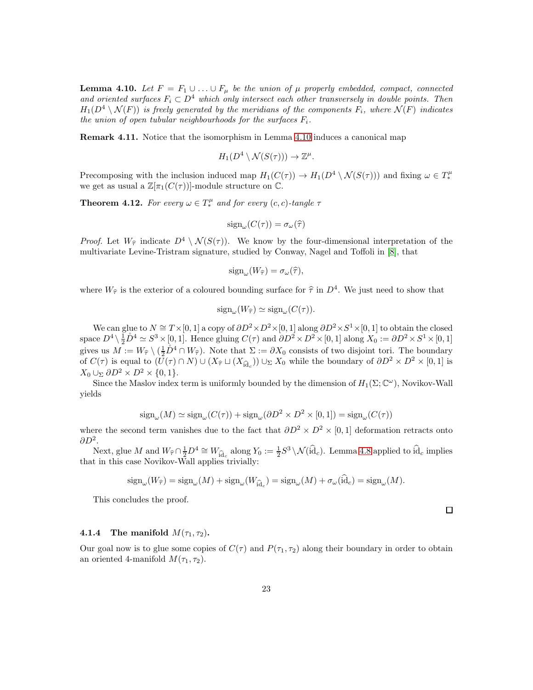<span id="page-22-0"></span>**Lemma 4.10.** Let  $F = F_1 \cup \ldots \cup F_u$  be the union of  $\mu$  properly embedded, compact, connected and oriented surfaces  $F_i \subset D^4$  which only intersect each other transversely in double points. Then  $H_1(D^4 \setminus \mathcal{N}(F))$  is freely generated by the meridians of the components  $F_i$ , where  $\mathcal{N}(F)$  indicates the union of open tubular neighbourhoods for the surfaces  $F_i$ .

Remark 4.11. Notice that the isomorphism in Lemma [4.10](#page-22-0) induces a canonical map

$$
H_1(D^4 \setminus \mathcal{N}(S(\tau))) \to \mathbb{Z}^{\mu}.
$$

Precomposing with the inclusion induced map  $H_1(C(\tau)) \to H_1(D^4 \setminus \mathcal{N}(S(\tau)))$  and fixing  $\omega \in T_*^{\mu}$ we get as usual a  $\mathbb{Z}[\pi_1(C(\tau))]$ -module structure on  $\mathbb{C}$ .

<span id="page-22-1"></span>**Theorem 4.12.** For every  $\omega \in T_*^{\mu}$  and for every  $(c, c)$ -tangle  $\tau$ 

$$
\operatorname{sign}_{\omega}(C(\tau)) = \sigma_{\omega}(\widehat{\tau})
$$

*Proof.* Let  $W_{\hat{\tau}}$  indicate  $D^4 \setminus \mathcal{N}(S(\tau))$ . We know by the four-dimensional interpretation of the multivariate Levine-Tristram signature, studied by Conway, Nagel and Toffoli in [\[8\]](#page-30-5), that

$$
\operatorname{sign}_{\omega}(W_{\widehat{\tau}}) = \sigma_{\omega}(\widehat{\tau}),
$$

where  $W_{\hat{\tau}}$  is the exterior of a coloured bounding surface for  $\hat{\tau}$  in  $D^4$ . We just need to show that

$$
\operatorname{sign}_{\omega}(W_{\widehat{\tau}}) \simeq \operatorname{sign}_{\omega}(C(\tau)).
$$

We can glue to  $N \cong T \times [0,1]$  a copy of  $\partial D^2 \times D^2 \times [0,1]$  along  $\partial D^2 \times S^1 \times [0,1]$  to obtain the closed space  $D^4 \setminus \frac{1}{2}D^4 \simeq S^3 \times [0, 1]$ . Hence gluing  $C(\tau)$  and  $\partial D^2 \times D^2 \times [0, 1]$  along  $X_0 := \partial D^2 \times S^1 \times [0, 1]$ gives us  $M := W_{\hat{\tau}} \setminus (\frac{1}{2}\mathring{D}^4 \cap W_{\hat{\tau}})$ . Note that  $\Sigma := \partial X_0$  consists of two disjoint tori. The boundary of  $C(\tau)$  is equal to  $(\bar{U}(\tau) \cap N) \cup (X_{\hat{\tau}} \sqcup (X_{\hat{\mathbf{i}}}) \cup \Sigma X_0$  while the boundary of  $\partial D^2 \times D^2 \times [0,1]$  is  $X_0 \cup_{\Sigma} \partial D^2 \times D^2 \times \{0,1\}.$ 

Since the Maslov index term is uniformly bounded by the dimension of  $H_1(\Sigma; \mathbb{C}^\omega)$ , Novikov-Wall yields

$$
\operatorname{sign}_{\omega}(M) \simeq \operatorname{sign}_{\omega}(C(\tau)) + \operatorname{sign}_{\omega}(\partial D^2 \times D^2 \times [0,1]) = \operatorname{sign}_{\omega}(C(\tau))
$$

where the second term vanishes due to the fact that  $\partial D^2 \times D^2 \times [0,1]$  deformation retracts onto  $\partial D^2$ .

Next, glue M and  $W_{\widehat{\tau}} \cap \frac{1}{2}D^4 \cong W_{\widehat{id}_c}$  along  $Y_0 := \frac{1}{2}S^3 \setminus \mathcal{N}(\widehat{id}_c)$ . Lemma [4.8](#page-19-0) applied to  $\widehat{id}_c$  implies that in this case Novikov-Wall applies trivially:

$$
\operatorname{sign}_{\omega}(W_{\widehat{\tau}}) = \operatorname{sign}_{\omega}(M) + \operatorname{sign}_{\omega}(W_{\widehat{\text{id}}_c}) = \operatorname{sign}_{\omega}(M) + \sigma_{\omega}(\widehat{\text{id}}_c) = \operatorname{sign}_{\omega}(M).
$$

This concludes the proof.

#### 4.1.4 The manifold  $M(\tau_1, \tau_2)$ .

Our goal now is to glue some copies of  $C(\tau)$  and  $P(\tau_1, \tau_2)$  along their boundary in order to obtain an oriented 4-manifold  $M(\tau_1, \tau_2)$ .

 $\Box$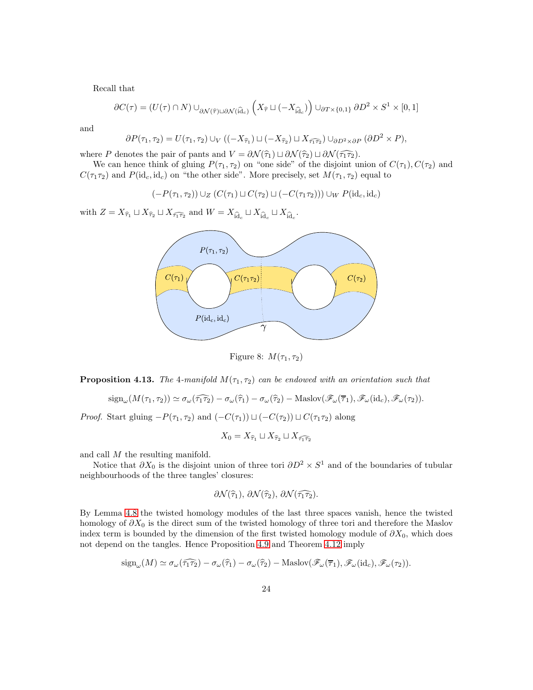Recall that

$$
\partial C(\tau) = (U(\tau) \cap N) \cup_{\partial \mathcal{N}(\widehat{\tau}) \sqcup \partial \mathcal{N}(\widehat{\mathrm{id}}_{c})} \left( X_{\widehat{\tau}} \sqcup (-X_{\widehat{\mathrm{id}}_{c}}) \right) \cup_{\partial T \times \{0,1\}} \partial D^{2} \times S^{1} \times [0,1]
$$

and

$$
\partial P(\tau_1, \tau_2) = U(\tau_1, \tau_2) \cup_V ((-X_{\widehat{\tau}_1}) \sqcup (-X_{\widehat{\tau}_2}) \sqcup X_{\widehat{\tau_1 \tau_2}}) \cup_{\partial D^2 \times \partial P} (\partial D^2 \times P),
$$

where P denotes the pair of pants and  $V = \partial \mathcal{N}(\hat{\tau}_1) \sqcup \partial \mathcal{N}(\hat{\tau}_2) \sqcup \partial \mathcal{N}(\hat{\tau}_1 \hat{\tau}_2)$ .

We can hence think of gluing  $P(\tau_1, \tau_2)$  on "one side" of the disjoint union of  $C(\tau_1)$ ,  $C(\tau_2)$  and  $C(\tau_1\tau_2)$  and  $P(\mathrm{id}_c, \mathrm{id}_c)$  on "the other side". More precisely, set  $M(\tau_1, \tau_2)$  equal to

$$
(-P(\tau_1, \tau_2)) \cup_Z (C(\tau_1) \sqcup C(\tau_2) \sqcup (-C(\tau_1 \tau_2))) \cup_W P(\mathrm{id}_c, \mathrm{id}_c)
$$

with  $Z = X_{\widehat{\tau}_1} \sqcup X_{\widehat{\tau}_2} \sqcup X_{\widehat{\tau}_1 \widehat{\tau}_2}$  and  $W = X_{\widehat{\text{id}}_c} \sqcup X_{\widehat{\text{id}}_c} \sqcup X_{\widehat{\text{id}}_c}$ .



<span id="page-23-0"></span>Figure 8:  $M(\tau_1, \tau_2)$ 

**Proposition 4.13.** The 4-manifold  $M(\tau_1, \tau_2)$  can be endowed with an orientation such that

$$
\mathrm{sign}_{\omega}(M(\tau_1, \tau_2)) \simeq \sigma_{\omega}(\widehat{\tau_1 \tau_2}) - \sigma_{\omega}(\widehat{\tau_1}) - \sigma_{\omega}(\widehat{\tau_2}) - \mathrm{Maslov}(\mathscr{F}_{\omega}(\overline{\tau}_1), \mathscr{F}_{\omega}(\mathrm{id}_c), \mathscr{F}_{\omega}(\tau_2)).
$$

*Proof.* Start gluing  $-P(\tau_1, \tau_2)$  and  $(-C(\tau_1)) \sqcup (-C(\tau_2)) \sqcup C(\tau_1 \tau_2)$  along

$$
X_0 = X_{\widehat{\tau}_1} \sqcup X_{\widehat{\tau}_2} \sqcup X_{\widehat{\tau}_1 \widehat{\tau}_2}
$$

and call M the resulting manifold.

Notice that  $\partial X_0$  is the disjoint union of three tori  $\partial D^2 \times S^1$  and of the boundaries of tubular neighbourhoods of the three tangles' closures:

$$
\partial \mathcal{N}(\widehat{\tau}_1), \, \partial \mathcal{N}(\widehat{\tau}_2), \, \partial \mathcal{N}(\widehat{\tau}_1 \widehat{\tau}_2).
$$

By Lemma [4.8](#page-19-0) the twisted homology modules of the last three spaces vanish, hence the twisted homology of  $\partial X_0$  is the direct sum of the twisted homology of three tori and therefore the Maslov index term is bounded by the dimension of the first twisted homology module of  $\partial X_0$ , which does not depend on the tangles. Hence Proposition [4.9](#page-19-1) and Theorem [4.12](#page-22-1) imply

$$
\mathrm{sign}_{\omega}(M) \simeq \sigma_{\omega}(\widehat{\tau_1 \tau_2}) - \sigma_{\omega}(\widehat{\tau}_1) - \sigma_{\omega}(\widehat{\tau}_2) - \mathrm{Maslov}(\mathscr{F}_{\omega}(\overline{\tau}_1), \mathscr{F}_{\omega}(\mathrm{id}_c), \mathscr{F}_{\omega}(\tau_2)).
$$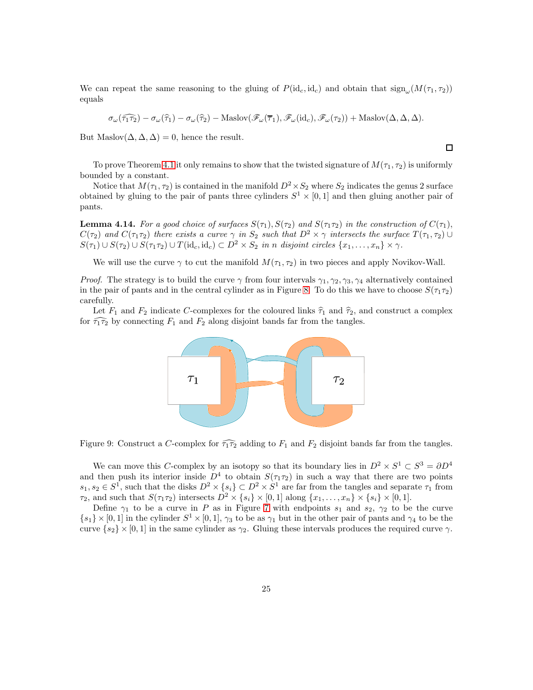We can repeat the same reasoning to the gluing of  $P(\mathrm{id}_c, \mathrm{id}_c)$  and obtain that  $\mathrm{sign}_{\omega}(M(\tau_1, \tau_2))$ equals

$$
\sigma_{\omega}(\widehat{\tau_1 \tau_2}) - \sigma_{\omega}(\widehat{\tau}_1) - \sigma_{\omega}(\widehat{\tau}_2) - \text{Maslov}(\mathscr{F}_{\omega}(\overline{\tau}_1), \mathscr{F}_{\omega}(\mathrm{id}_c), \mathscr{F}_{\omega}(\tau_2)) + \text{Maslov}(\Delta, \Delta, \Delta).
$$

But Maslov $(\Delta, \Delta, \Delta) = 0$ , hence the result.

To prove Theorem [4.1](#page-12-1) it only remains to show that the twisted signature of  $M(\tau_1, \tau_2)$  is uniformly bounded by a constant.

 $\Box$ 

Notice that  $M(\tau_1, \tau_2)$  is contained in the manifold  $D^2 \times S_2$  where  $S_2$  indicates the genus 2 surface obtained by gluing to the pair of pants three cylinders  $S^1 \times [0,1]$  and then gluing another pair of pants.

**Lemma 4.14.** For a good choice of surfaces  $S(\tau_1), S(\tau_2)$  and  $S(\tau_1\tau_2)$  in the construction of  $C(\tau_1)$ ,  $C(\tau_2)$  and  $C(\tau_1\tau_2)$  there exists a curve  $\gamma$  in  $S_2$  such that  $D^2 \times \gamma$  intersects the surface  $T(\tau_1, \tau_2) \cup$  $S(\tau_1) \cup S(\tau_2) \cup S(\tau_1 \tau_2) \cup T(\mathrm{id}_c, \mathrm{id}_c) \subset D^2 \times S_2$  in n disjoint circles  $\{x_1, \ldots, x_n\} \times \gamma$ .

We will use the curve  $\gamma$  to cut the manifold  $M(\tau_1, \tau_2)$  in two pieces and apply Novikov-Wall.

*Proof.* The strategy is to build the curve  $\gamma$  from four intervals  $\gamma_1, \gamma_2, \gamma_3, \gamma_4$  alternatively contained in the pair of pants and in the central cylinder as in Figure [8.](#page-23-0) To do this we have to choose  $S(\tau_1\tau_2)$ carefully.

Let  $F_1$  and  $F_2$  indicate C-complexes for the coloured links  $\hat{\tau}_1$  and  $\hat{\tau}_2$ , and construct a complex for  $\widehat{\tau_1 \tau_2}$  by connecting  $F_1$  and  $F_2$  along disjoint bands far from the tangles.



Figure 9: Construct a C-complex for  $\widehat{\tau_1 \tau_2}$  adding to  $F_1$  and  $F_2$  disjoint bands far from the tangles.

We can move this C-complex by an isotopy so that its boundary lies in  $D^2 \times S^1 \subset S^3 = \partial D^4$ and then push its interior inside  $D^4$  to obtain  $S(\tau_1\tau_2)$  in such a way that there are two points  $s_1, s_2 \in S^1$ , such that the disks  $D^2 \times \{s_i\} \subset D^2 \times S^1$  are far from the tangles and separate  $\tau_1$  from  $\tau_2$ , and such that  $S(\tau_1 \tau_2)$  intersects  $D^2 \times \{s_i\} \times [0,1]$  along  $\{x_1, \ldots, x_n\} \times \{s_i\} \times [0,1]$ .

Define  $\gamma_1$  to be a curve in P as in Figure [7](#page-17-0) with endpoints  $s_1$  and  $s_2$ ,  $\gamma_2$  to be the curve  ${s_1} \times [0,1]$  in the cylinder  $S^1 \times [0,1]$ ,  $\gamma_3$  to be as  $\gamma_1$  but in the other pair of pants and  $\gamma_4$  to be the curve  $\{s_2\} \times [0,1]$  in the same cylinder as  $\gamma_2$ . Gluing these intervals produces the required curve  $\gamma$ .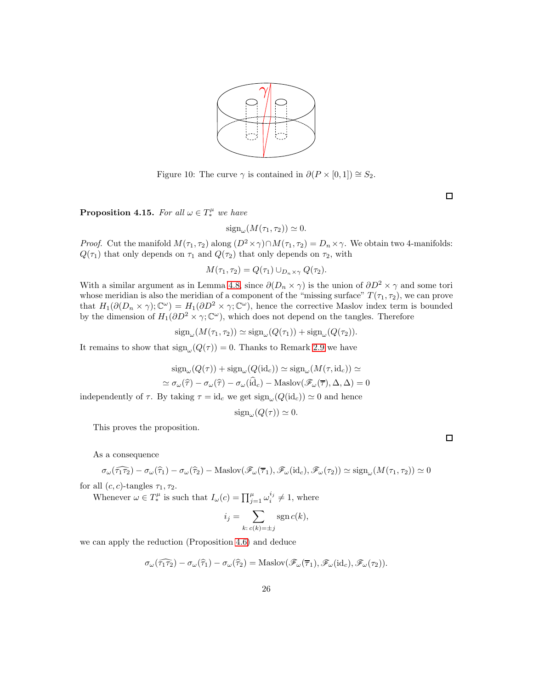

Figure 10: The curve  $\gamma$  is contained in  $\partial(P \times [0,1]) \cong S_2$ .

 $\Box$ 

**Proposition 4.15.** For all  $\omega \in T^{\mu}_*$  we have

 $sign_{\omega}(M(\tau_1, \tau_2)) \simeq 0.$ 

*Proof.* Cut the manifold  $M(\tau_1, \tau_2)$  along  $(D^2 \times \gamma) \cap M(\tau_1, \tau_2) = D_n \times \gamma$ . We obtain two 4-manifolds:  $Q(\tau_1)$  that only depends on  $\tau_1$  and  $Q(\tau_2)$  that only depends on  $\tau_2$ , with

$$
M(\tau_1, \tau_2) = Q(\tau_1) \cup_{D_n \times \gamma} Q(\tau_2).
$$

With a similar argument as in Lemma [4.8,](#page-19-0) since  $\partial(D_n \times \gamma)$  is the union of  $\partial D^2 \times \gamma$  and some tori whose meridian is also the meridian of a component of the "missing surface"  $T(\tau_1, \tau_2)$ , we can prove that  $H_1(\partial(D_n \times \gamma); \mathbb{C}^{\omega}) = H_1(\partial D^2 \times \gamma; \mathbb{C}^{\omega})$ , hence the corrective Maslov index term is bounded by the dimension of  $H_1(\partial D^2 \times \gamma; \mathbb{C}^{\omega})$ , which does not depend on the tangles. Therefore

$$
\operatorname{sign}_{\omega}(M(\tau_1, \tau_2)) \simeq \operatorname{sign}_{\omega}(Q(\tau_1)) + \operatorname{sign}_{\omega}(Q(\tau_2)).
$$

It remains to show that  $sign_{\omega}(Q(\tau)) = 0$ . Thanks to Remark [2.9](#page-6-0) we have

$$
sign_{\omega}(Q(\tau)) + sign_{\omega}(Q(id_c)) \simeq sign_{\omega}(M(\tau, id_c)) \simeq
$$
  

$$
\simeq \sigma_{\omega}(\hat{\tau}) - \sigma_{\omega}(\hat{\tau}) - \sigma_{\omega}(\hat{id}_c) - \text{Maslov}(\mathscr{F}_{\omega}(\overline{\tau}), \Delta, \Delta) = 0
$$
  
which is  $\tau = id$ , we get sign  $(Q(id, \Delta)) \simeq 0$  and hence

independently of  $\tau$ . By taking  $\tau = id_c$  we get  $sign_\omega(Q(id_c)) \simeq 0$  and hence

$$
\operatorname{sign}_{\omega}(Q(\tau)) \simeq 0.
$$

This proves the proposition.

As a consequence

$$
\sigma_{\omega}(\widehat{\tau_1 \tau_2}) - \sigma_{\omega}(\widehat{\tau}_1) - \sigma_{\omega}(\widehat{\tau}_2) - \text{Maslov}(\mathscr{F}_{\omega}(\overline{\tau}_1), \mathscr{F}_{\omega}(\mathrm{id}_c), \mathscr{F}_{\omega}(\tau_2)) \simeq \text{sign}_{\omega}(M(\tau_1, \tau_2)) \simeq 0
$$

for all  $(c, c)$ -tangles  $\tau_1, \tau_2$ .

Whenever  $\omega \in T_*^{\mu}$  is such that  $I_{\omega}(c) = \prod_{j=1}^{\mu} \omega_i^{i_j} \neq 1$ , where

$$
i_j = \sum_{k:\,c(k)=\pm j} \operatorname{sgn} c(k),
$$

we can apply the reduction (Proposition [4.6\)](#page-16-0) and deduce

$$
\sigma_{\omega}(\widehat{\tau_1 \tau_2}) - \sigma_{\omega}(\widehat{\tau}_1) - \sigma_{\omega}(\widehat{\tau}_2) = \text{Maslov}(\mathscr{F}_{\omega}(\overline{\tau}_1), \mathscr{F}_{\omega}(\mathrm{id}_c), \mathscr{F}_{\omega}(\tau_2)).
$$

 $\Box$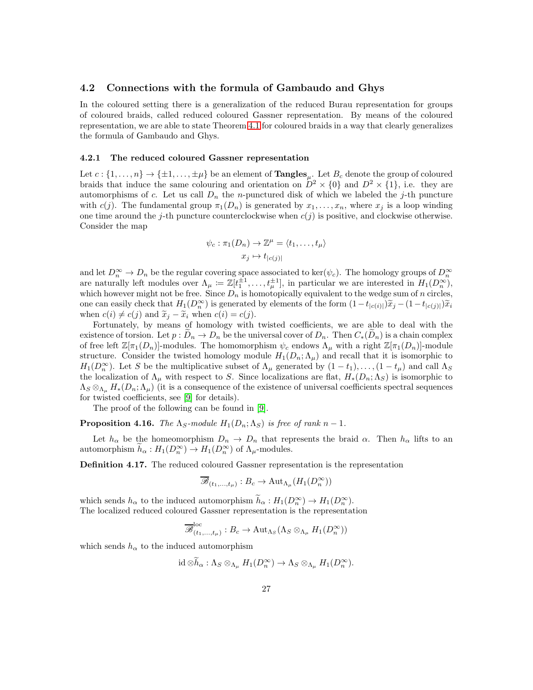#### <span id="page-26-0"></span>4.2 Connections with the formula of Gambaudo and Ghys

In the coloured setting there is a generalization of the reduced Burau representation for groups of coloured braids, called reduced coloured Gassner representation. By means of the coloured representation, we are able to state Theorem [4.1](#page-12-1) for coloured braids in a way that clearly generalizes the formula of Gambaudo and Ghys.

#### 4.2.1 The reduced coloured Gassner representation

Let  $c: \{1, \ldots, n\} \to \{\pm 1, \ldots, \pm \mu\}$  be an element of  $\textbf{Tangles}_{\mu}$ . Let  $B_c$  denote the group of coloured braids that induce the same colouring and orientation on  $D^2 \times \{0\}$  and  $D^2 \times \{1\}$ , i.e. they are automorphisms of c. Let us call  $D_n$  the n-punctured disk of which we labeled the j-th puncture with c(j). The fundamental group  $\pi_1(D_n)$  is generated by  $x_1, \ldots, x_n$ , where  $x_j$  is a loop winding one time around the j-th puncture counterclockwise when  $c(j)$  is positive, and clockwise otherwise. Consider the map

$$
\psi_c : \pi_1(D_n) \to \mathbb{Z}^\mu = \langle t_1, \dots, t_\mu \rangle
$$

$$
x_j \mapsto t_{|c(j)|}
$$

and let  $D_n^{\infty} \to D_n$  be the regular covering space associated to ker( $\psi_c$ ). The homology groups of  $D_n^{\infty}$ are naturally left modules over  $\Lambda_{\mu} := \mathbb{Z}[t_1^{\pm 1}, \ldots, t_{\mu}^{\pm 1}],$  in particular we are interested in  $H_1(D_n^{\infty})$ , which however might not be free. Since  $D_n$  is homotopically equivalent to the wedge sum of n circles, one can easily check that  $H_1(D_n^{\infty})$  is generated by elements of the form  $(1-t_{|c(i)|})\tilde{x}_j - (1-t_{|c(j)|})\tilde{x}_i$ when  $c(i) \neq c(j)$  and  $\widetilde{x}_i - \widetilde{x}_i$  when  $c(i) = c(j)$ .

Fortunately, by means of homology with twisted coefficients, we are able to deal with the existence of torsion. Let  $p: D_n \to D_n$  be the universal cover of  $D_n$ . Then  $C_*(D_n)$  is a chain complex of free left  $\mathbb{Z}[\pi_1(D_n)]$ -modules. The homomorphism  $\psi_c$  endows  $\Lambda_\mu$  with a right  $\mathbb{Z}[\pi_1(D_n)]$ -module structure. Consider the twisted homology module  $H_1(D_n; \Lambda_\mu)$  and recall that it is isomorphic to  $H_1(D_n^{\infty})$ . Let S be the multiplicative subset of  $\Lambda_{\mu}$  generated by  $(1-t_1), \ldots, (1-t_{\mu})$  and call  $\Lambda_{S}$ the localization of  $\Lambda_\mu$  with respect to S. Since localizations are flat,  $H_*(D_n; \Lambda_S)$  is isomorphic to  $\Lambda_S \otimes_{\Lambda_\mu} H_*(D_n; \Lambda_\mu)$  (it is a consequence of the existence of universal coefficients spectral sequences for twisted coefficients, see [\[9\]](#page-30-4) for details).

The proof of the following can be found in [\[9\]](#page-30-4).

**Proposition 4.16.** The  $\Lambda_S$ -module  $H_1(D_n; \Lambda_S)$  is free of rank  $n-1$ .

Let  $h_{\alpha}$  be the homeomorphism  $D_n \to D_n$  that represents the braid  $\alpha$ . Then  $h_{\alpha}$  lifts to an automorphism  $\tilde{h}_{\alpha}: H_1(D_n^{\infty}) \to H_1(D_n^{\infty})$  of  $\Lambda_{\mu}$ -modules.

Definition 4.17. The reduced coloured Gassner representation is the representation

$$
\overline{\mathscr{B}}_{(t_1,\ldots,t_\mu)}:B_c\to \mathrm{Aut}_{\Lambda_\mu}(H_1(D_n^\infty))
$$

which sends  $h_{\alpha}$  to the induced automorphism  $h_{\alpha}: H_1(D_n^{\infty}) \to H_1(D_n^{\infty})$ . The localized reduced coloured Gassner representation is the representation

$$
\overline{\mathcal{B}}_{(t_1,\ldots,t_\mu)}^{\text{loc}}:B_c\to \text{Aut}_{\Lambda_S}(\Lambda_S\otimes_{\Lambda_\mu}H_1(D_n^{\infty}))
$$

which sends  $h_\alpha$  to the induced automorphism

$$
\mathrm{id} \otimes \widetilde{h}_{\alpha}: \Lambda_S \otimes_{\Lambda_{\mu}} H_1(D_n^{\infty}) \to \Lambda_S \otimes_{\Lambda_{\mu}} H_1(D_n^{\infty}).
$$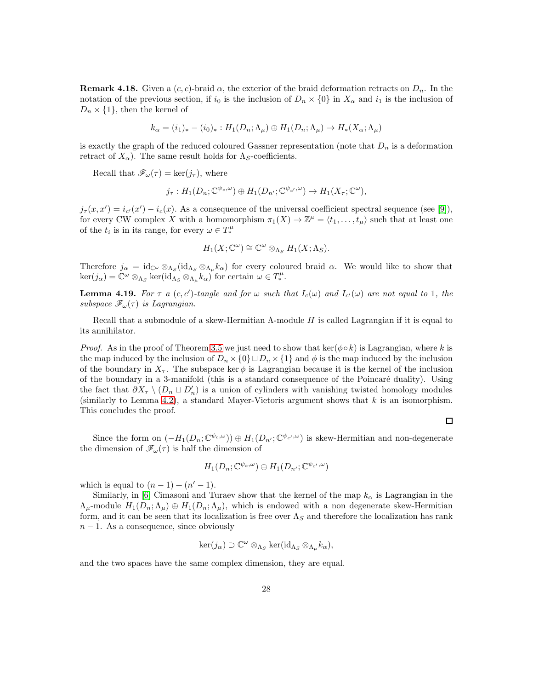**Remark 4.18.** Given a  $(c, c)$ -braid  $\alpha$ , the exterior of the braid deformation retracts on  $D_n$ . In the notation of the previous section, if  $i_0$  is the inclusion of  $D_n \times \{0\}$  in  $X_\alpha$  and  $i_1$  is the inclusion of  $D_n \times \{1\}$ , then the kernel of

$$
k_{\alpha} = (i_1)_* - (i_0)_*: H_1(D_n; \Lambda_\mu) \oplus H_1(D_n; \Lambda_\mu) \to H_*(X_\alpha; \Lambda_\mu)
$$

is exactly the graph of the reduced coloured Gassner representation (note that  $D_n$  is a deformation retract of  $X_{\alpha}$ ). The same result holds for  $\Lambda_S$ -coefficients.

Recall that  $\mathscr{F}_{\omega}(\tau) = \ker(j_{\tau}),$  where

$$
j_{\tau}: H_1(D_n; \mathbb{C}^{\psi_c, \omega}) \oplus H_1(D_{n'}; \mathbb{C}^{\psi_{c'}, \omega}) \to H_1(X_{\tau}; \mathbb{C}^{\omega}),
$$

 $j_{\tau}(x,x') = i_{c'}(x') - i_c(x)$ . As a consequence of the universal coefficient spectral sequence (see [\[9\]](#page-30-4)), for every CW complex X with a homomorphism  $\pi_1(X) \to \mathbb{Z}^{\mu} = \langle t_1, \ldots, t_{\mu} \rangle$  such that at least one of the  $t_i$  is in its range, for every  $\omega \in T_*^{\mu}$ 

$$
H_1(X; \mathbb{C}^{\omega}) \cong \mathbb{C}^{\omega} \otimes_{\Lambda_S} H_1(X; \Lambda_S).
$$

Therefore  $j_{\alpha} = \text{id}_{\mathbb{C}^{\omega}} \otimes_{\Lambda_S} (\text{id}_{\Lambda_S} \otimes_{\Lambda_\mu} k_{\alpha})$  for every coloured braid  $\alpha$ . We would like to show that  $\ker(j_{\alpha}) = \mathbb{C}^{\omega} \otimes_{\Lambda_S} \ker(\mathrm{id}_{\Lambda_S} \otimes_{\Lambda_{\mu}} k_{\alpha})$  for certain  $\omega \in T^{\mu}_{*}$ .

**Lemma 4.19.** For  $\tau$  a  $(c, c')$ -tangle and for  $\omega$  such that  $I_c(\omega)$  and  $I_{c'}(\omega)$  are not equal to 1, the subspace  $\mathscr{F}_{\omega}(\tau)$  is Lagrangian.

Recall that a submodule of a skew-Hermitian  $\Lambda$ -module H is called Lagrangian if it is equal to its annihilator.

*Proof.* As in the proof of Theorem [3.5](#page-10-0) we just need to show that ker( $\phi \circ k$ ) is Lagrangian, where k is the map induced by the inclusion of  $D_n \times \{0\} \sqcup D_n \times \{1\}$  and  $\phi$  is the map induced by the inclusion of the boundary in  $X_{\tau}$ . The subspace ker  $\phi$  is Lagrangian because it is the kernel of the inclusion of the boundary in a 3-manifold (this is a standard consequence of the Poincaré duality). Using the fact that  $\partial X_{\tau} \setminus (D_n \sqcup D'_n)$  is a union of cylinders with vanishing twisted homology modules (similarly to Lemma [4.2\)](#page-13-0), a standard Mayer-Vietoris argument shows that  $k$  is an isomorphism. This concludes the proof.

 $\Box$ 

Since the form on  $(-H_1(D_n;\mathbb{C}^{\psi_c,\omega}))\oplus H_1(D_{n'};\mathbb{C}^{\psi_{c'},\omega})$  is skew-Hermitian and non-degenerate the dimension of  $\mathscr{F}_{\omega}(\tau)$  is half the dimension of

$$
H_1(D_n; \mathbb{C}^{\psi_c, \omega}) \oplus H_1(D_{n'}; \mathbb{C}^{\psi_{c'}, \omega})
$$

which is equal to  $(n-1) + (n'-1)$ .

Similarly, in [\[6\]](#page-30-10) Cimasoni and Turaev show that the kernel of the map  $k_{\alpha}$  is Lagrangian in the  $\Lambda_{\mu}$ -module  $H_1(D_n;\Lambda_{\mu})\oplus H_1(D_n;\Lambda_{\mu})$ , which is endowed with a non degenerate skew-Hermitian form, and it can be seen that its localization is free over  $\Lambda_S$  and therefore the localization has rank  $n-1$ . As a consequence, since obviously

$$
\ker(j_{\alpha}) \supset \mathbb{C}^{\omega} \otimes_{\Lambda_S} \ker(\mathrm{id}_{\Lambda_S} \otimes_{\Lambda_{\mu}} k_{\alpha}),
$$

and the two spaces have the same complex dimension, they are equal.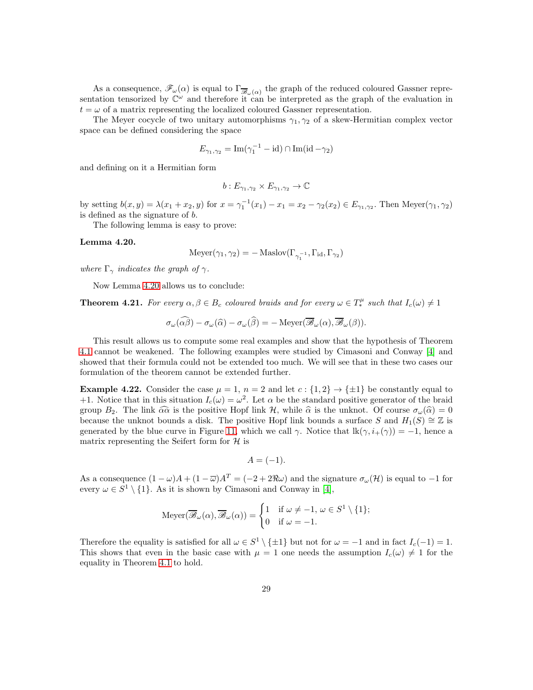As a consequence,  $\mathscr{F}_{\omega}(\alpha)$  is equal to  $\Gamma_{\overline{\mathscr{B}}_{\omega}(\alpha)}$  the graph of the reduced coloured Gassner representation tensorized by  $\mathbb{C}^{\omega}$  and therefore it can be interpreted as the graph of the evaluation in  $t = \omega$  of a matrix representing the localized coloured Gassner representation.

The Meyer cocycle of two unitary automorphisms  $\gamma_1, \gamma_2$  of a skew-Hermitian complex vector space can be defined considering the space

$$
E_{\gamma_1, \gamma_2} = \text{Im}(\gamma_1^{-1} - \text{id}) \cap \text{Im}(\text{id} - \gamma_2)
$$

and defining on it a Hermitian form

$$
b: E_{\gamma_1, \gamma_2} \times E_{\gamma_1, \gamma_2} \to \mathbb{C}
$$

by setting  $b(x, y) = \lambda(x_1 + x_2, y)$  for  $x = \gamma_1^{-1}(x_1) - x_1 = x_2 - \gamma_2(x_2) \in E_{\gamma_1, \gamma_2}$ . Then Meyer $(\gamma_1, \gamma_2)$ is defined as the signature of b.

The following lemma is easy to prove:

#### <span id="page-28-0"></span>Lemma 4.20.

$$
Meyer(\gamma_1, \gamma_2) = - \text{Maslov}(\Gamma_{\gamma_1^{-1}}, \Gamma_{\text{id}}, \Gamma_{\gamma_2})
$$

where  $\Gamma_{\gamma}$  indicates the graph of  $\gamma$ .

Now Lemma [4.20](#page-28-0) allows us to conclude:

**Theorem 4.21.** For every  $\alpha, \beta \in B_c$  coloured braids and for every  $\omega \in T_*^{\mu}$  such that  $I_c(\omega) \neq 1$ 

$$
\sigma_{\omega}(\widehat{\alpha\beta}) - \sigma_{\omega}(\widehat{\alpha}) - \sigma_{\omega}(\widehat{\beta}) = -\operatorname{Meyer}(\overline{\mathscr{B}}_{\omega}(\alpha), \overline{\mathscr{B}}_{\omega}(\beta)).
$$

This result allows us to compute some real examples and show that the hypothesis of Theorem [4.1](#page-12-1) cannot be weakened. The following examples were studied by Cimasoni and Conway [\[4\]](#page-30-3) and showed that their formula could not be extended too much. We will see that in these two cases our formulation of the theorem cannot be extended further.

**Example 4.22.** Consider the case  $\mu = 1$ ,  $n = 2$  and let  $c : \{1,2\} \rightarrow \{\pm 1\}$  be constantly equal to +1. Notice that in this situation  $I_c(\omega) = \omega^2$ . Let  $\alpha$  be the standard positive generator of the braid group  $B_2$ . The link  $\widehat{\alpha} \widehat{\alpha}$  is the positive Hopf link H, while  $\widehat{\alpha}$  is the unknot. Of course  $\sigma_{\omega}(\widehat{\alpha}) = 0$ because the unknot bounds a disk. The positive Hopf link bounds a surface S and  $H_1(S) \cong \mathbb{Z}$  is generated by the blue curve in Figure [11,](#page-29-0) which we call  $\gamma$ . Notice that  $lk(\gamma, i_+(\gamma)) = -1$ , hence a matrix representing the Seifert form for  $H$  is

$$
A = (-1).
$$

As a consequence  $(1 - \omega)A + (1 - \overline{\omega})A^T = (-2 + 2\Re\omega)$  and the signature  $\sigma_\omega(\mathcal{H})$  is equal to -1 for every  $\omega \in S^1 \setminus \{1\}$ . As it is shown by Cimasoni and Conway in [\[4\]](#page-30-3),

$$
\text{Meyer}(\overline{\mathscr{B}}_{\omega}(\alpha), \overline{\mathscr{B}}_{\omega}(\alpha)) = \begin{cases} 1 & \text{if } \omega \neq -1, \, \omega \in S^1 \setminus \{1\}; \\ 0 & \text{if } \omega = -1. \end{cases}
$$

Therefore the equality is satisfied for all  $\omega \in S^1 \setminus \{\pm 1\}$  but not for  $\omega = -1$  and in fact  $I_c(-1) = 1$ . This shows that even in the basic case with  $\mu = 1$  one needs the assumption  $I_c(\omega) \neq 1$  for the equality in Theorem [4.1](#page-12-1) to hold.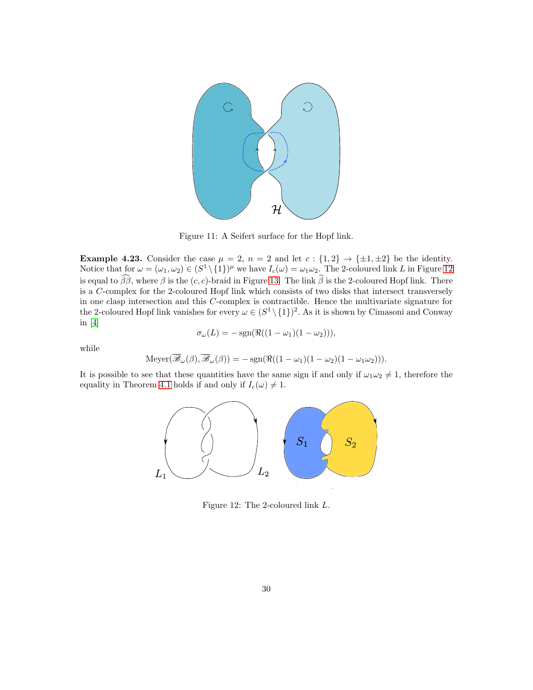

Figure 11: A Seifert surface for the Hopf link.

**Example 4.23.** Consider the case  $\mu = 2$ ,  $n = 2$  and let  $c : \{1,2\} \rightarrow \{\pm 1, \pm 2\}$  be the identity. Notice that for  $\omega = (\omega_1, \omega_2) \in (S^1 \setminus \{1\})^{\mu}$  we have  $I_c(\omega) = \omega_1 \omega_2$ . The 2-coloured link L in Figure [12](#page-29-1) is equal to  $\widehat{\beta\beta}$ , where  $\beta$  is the  $(c, c)$ -braid in Figure [13.](#page-30-11) The link  $\widehat{\beta}$  is the 2-coloured Hopf link. There is a C-complex for the 2-coloured Hopf link which consists of two disks that intersect transversely in one clasp intersection and this C-complex is contractible. Hence the multivariate signature for the 2-coloured Hopf link vanishes for every  $\omega \in (S^1 \setminus \{1\})^2$ . As it is shown by Cimasoni and Conway in [\[4\]](#page-30-3)

<span id="page-29-0"></span>
$$
\sigma_{\omega}(L) = -\operatorname{sgn}(\Re((1-\omega_1)(1-\omega_2))),
$$

while

$$
\operatorname{Meyer}(\overline{\mathscr{B}}_{\omega}(\beta), \overline{\mathscr{B}}_{\omega}(\beta)) = -\operatorname{sgn}(\Re((1 - \omega_1)(1 - \omega_2)(1 - \omega_1\omega_2))).
$$

It is possible to see that these quantities have the same sign if and only if  $\omega_1\omega_2 \neq 1$ , therefore the equality in Theorem [4.1](#page-12-1) holds if and only if  $I_c(\omega) \neq 1$ .



<span id="page-29-1"></span>Figure 12: The 2-coloured link L.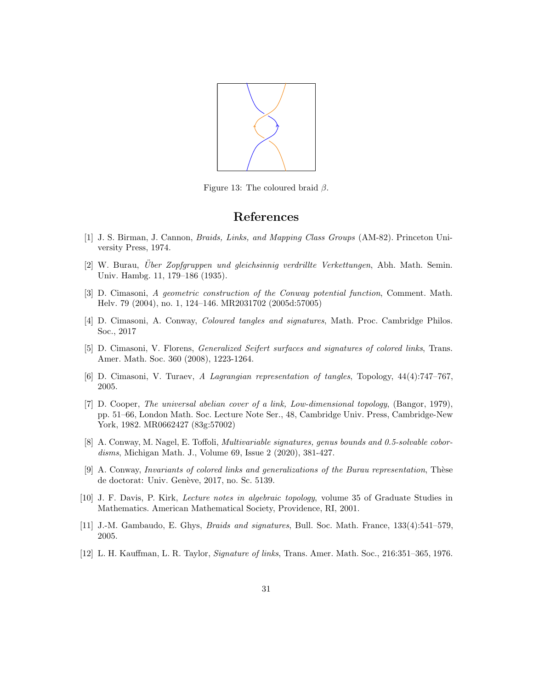

Figure 13: The coloured braid  $\beta$ .

## <span id="page-30-11"></span>References

- <span id="page-30-2"></span><span id="page-30-1"></span>[1] J. S. Birman, J. Cannon, Braids, Links, and Mapping Class Groups (AM-82). Princeton University Press, 1974.
- [2] W. Burau, Über Zopfgruppen und gleichsinnig verdrillte Verkettungen, Abh. Math. Semin. Univ. Hambg. 11, 179–186 (1935).
- <span id="page-30-8"></span>[3] D. Cimasoni, A geometric construction of the Conway potential function, Comment. Math. Helv. 79 (2004), no. 1, 124–146. MR2031702 (2005d:57005)
- <span id="page-30-6"></span><span id="page-30-3"></span>[4] D. Cimasoni, A. Conway, Coloured tangles and signatures, Math. Proc. Cambridge Philos. Soc., 2017
- [5] D. Cimasoni, V. Florens, Generalized Seifert surfaces and signatures of colored links, Trans. Amer. Math. Soc. 360 (2008), 1223-1264.
- <span id="page-30-10"></span><span id="page-30-7"></span>[6] D. Cimasoni, V. Turaev, A Lagrangian representation of tangles, Topology, 44(4):747–767, 2005.
- [7] D. Cooper, The universal abelian cover of a link, Low-dimensional topology, (Bangor, 1979), pp. 51–66, London Math. Soc. Lecture Note Ser., 48, Cambridge Univ. Press, Cambridge-New York, 1982. MR0662427 (83g:57002)
- <span id="page-30-5"></span>[8] A. Conway, M. Nagel, E. Toffoli, *Multivariable signatures, genus bounds and 0.5-solvable cobor*disms, Michigan Math. J., Volume 69, Issue 2 (2020), 381-427.
- <span id="page-30-4"></span>[9] A. Conway, Invariants of colored links and generalizations of the Burau representation, Thèse de doctorat: Univ. Genève, 2017, no. Sc. 5139.
- <span id="page-30-9"></span>[10] J. F. Davis, P. Kirk, Lecture notes in algebraic topology, volume 35 of Graduate Studies in Mathematics. American Mathematical Society, Providence, RI, 2001.
- <span id="page-30-0"></span>[11] J.-M. Gambaudo, E. Ghys, Braids and signatures, Bull. Soc. Math. France, 133(4):541–579, 2005.
- [12] L. H. Kauffman, L. R. Taylor, Signature of links, Trans. Amer. Math. Soc., 216:351–365, 1976.